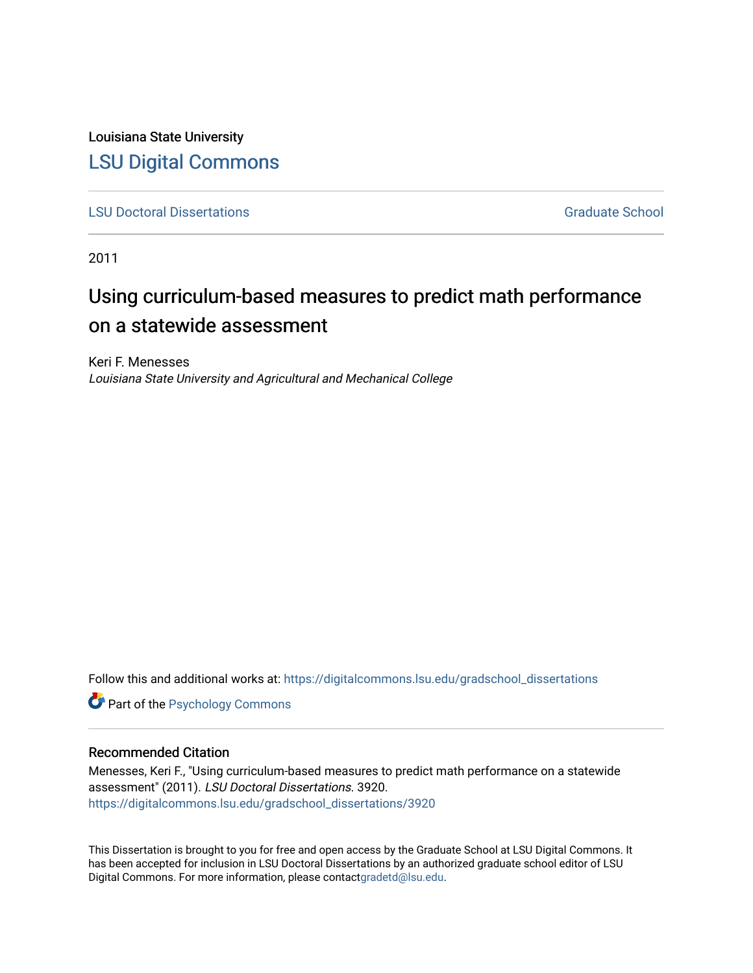Louisiana State University [LSU Digital Commons](https://digitalcommons.lsu.edu/)

[LSU Doctoral Dissertations](https://digitalcommons.lsu.edu/gradschool_dissertations) Graduate School

2011

# Using curriculum-based measures to predict math performance on a statewide assessment

Keri F. Menesses Louisiana State University and Agricultural and Mechanical College

Follow this and additional works at: [https://digitalcommons.lsu.edu/gradschool\\_dissertations](https://digitalcommons.lsu.edu/gradschool_dissertations?utm_source=digitalcommons.lsu.edu%2Fgradschool_dissertations%2F3920&utm_medium=PDF&utm_campaign=PDFCoverPages)

**Part of the Psychology Commons** 

#### Recommended Citation

Menesses, Keri F., "Using curriculum-based measures to predict math performance on a statewide assessment" (2011). LSU Doctoral Dissertations. 3920. [https://digitalcommons.lsu.edu/gradschool\\_dissertations/3920](https://digitalcommons.lsu.edu/gradschool_dissertations/3920?utm_source=digitalcommons.lsu.edu%2Fgradschool_dissertations%2F3920&utm_medium=PDF&utm_campaign=PDFCoverPages)

This Dissertation is brought to you for free and open access by the Graduate School at LSU Digital Commons. It has been accepted for inclusion in LSU Doctoral Dissertations by an authorized graduate school editor of LSU Digital Commons. For more information, please contac[tgradetd@lsu.edu.](mailto:gradetd@lsu.edu)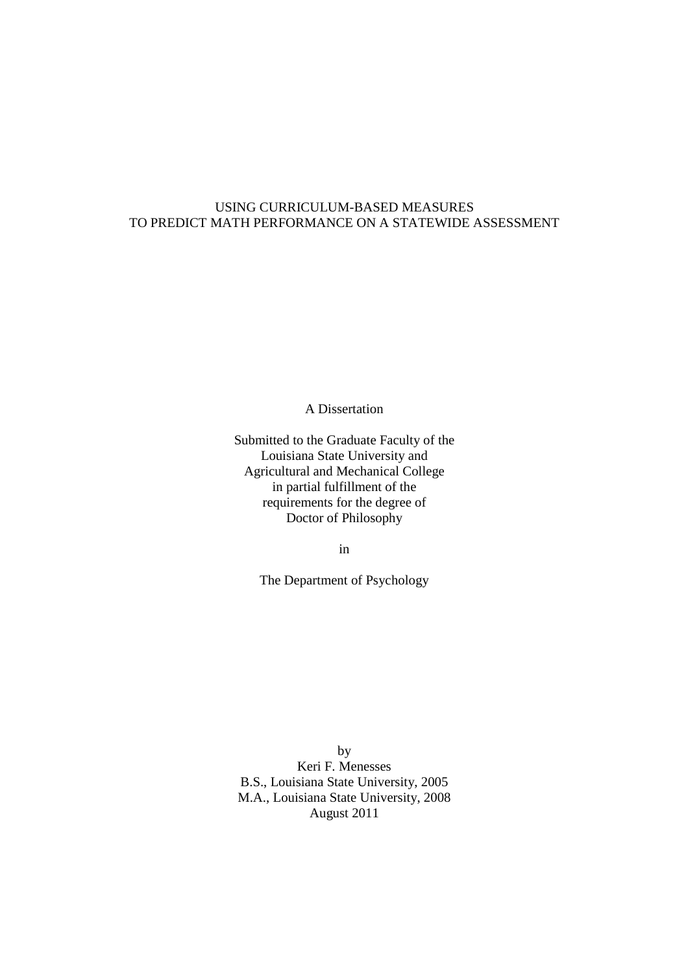### USING CURRICULUM-BASED MEASURES TO PREDICT MATH PERFORMANCE ON A STATEWIDE ASSESSMENT

A Dissertation

Submitted to the Graduate Faculty of the Louisiana State University and Agricultural and Mechanical College in partial fulfillment of the requirements for the degree of Doctor of Philosophy

in

The Department of Psychology

by Keri F. Menesses B.S., Louisiana State University, 2005 M.A., Louisiana State University, 2008 August 2011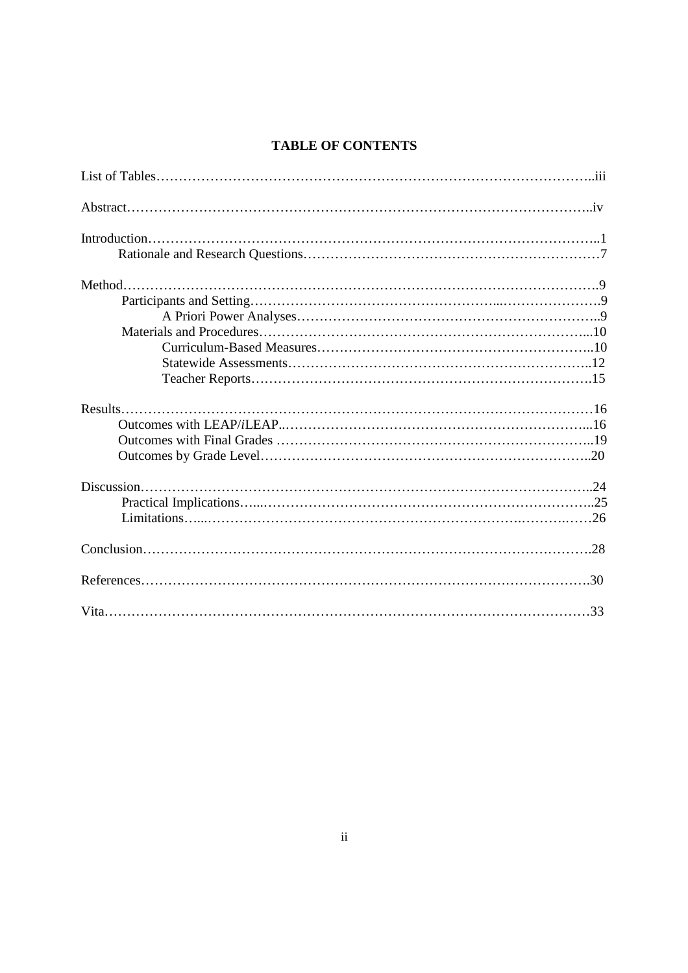## **TABLE OF CONTENTS**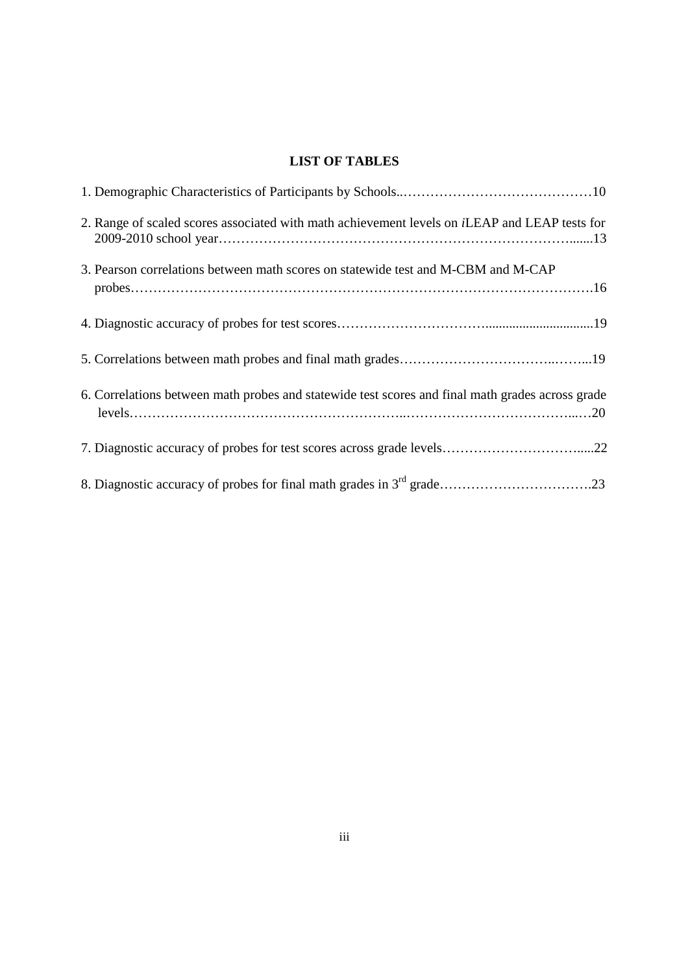## **LIST OF TABLES**

| 2. Range of scaled scores associated with math achievement levels on <i>i</i> LEAP and LEAP tests for |
|-------------------------------------------------------------------------------------------------------|
| 3. Pearson correlations between math scores on statewide test and M-CBM and M-CAP                     |
|                                                                                                       |
|                                                                                                       |
| 6. Correlations between math probes and statewide test scores and final math grades across grade      |
|                                                                                                       |
|                                                                                                       |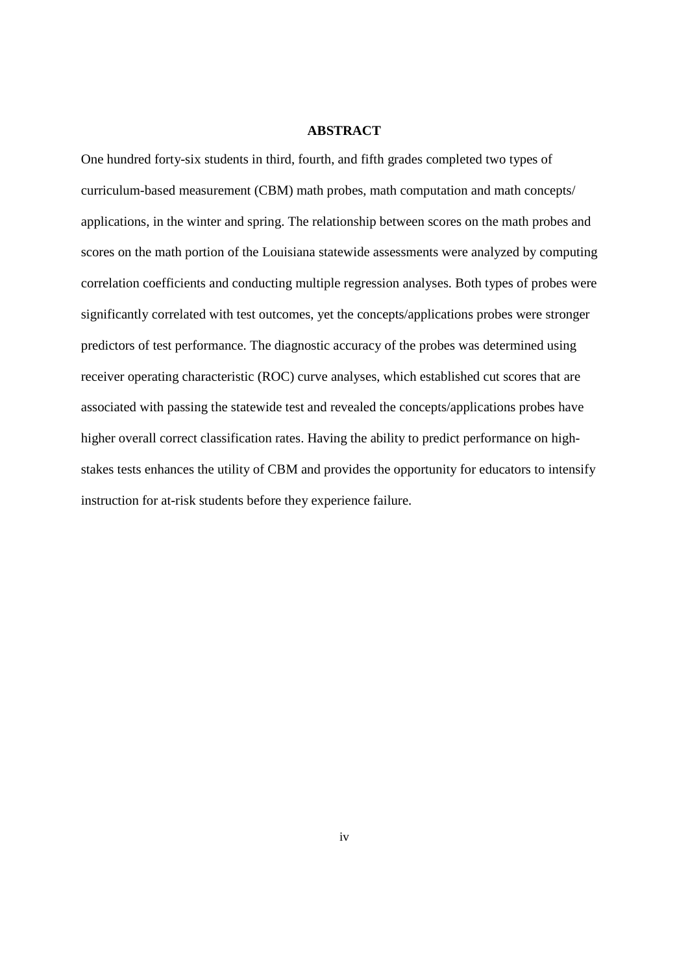#### **ABSTRACT**

One hundred forty-six students in third, fourth, and fifth grades completed two types of curriculum-based measurement (CBM) math probes, math computation and math concepts/ applications, in the winter and spring. The relationship between scores on the math probes and scores on the math portion of the Louisiana statewide assessments were analyzed by computing correlation coefficients and conducting multiple regression analyses. Both types of probes were significantly correlated with test outcomes, yet the concepts/applications probes were stronger predictors of test performance. The diagnostic accuracy of the probes was determined using receiver operating characteristic (ROC) curve analyses, which established cut scores that are associated with passing the statewide test and revealed the concepts/applications probes have higher overall correct classification rates. Having the ability to predict performance on highstakes tests enhances the utility of CBM and provides the opportunity for educators to intensify instruction for at-risk students before they experience failure.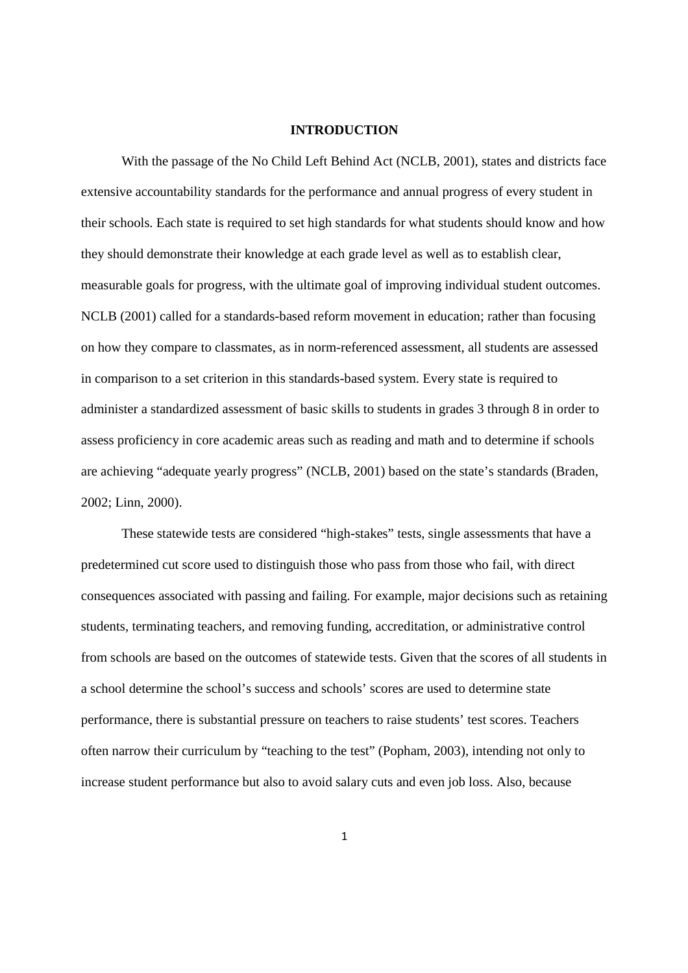#### **INTRODUCTION**

 With the passage of the No Child Left Behind Act (NCLB, 2001), states and districts face extensive accountability standards for the performance and annual progress of every student in their schools. Each state is required to set high standards for what students should know and how they should demonstrate their knowledge at each grade level as well as to establish clear, measurable goals for progress, with the ultimate goal of improving individual student outcomes. NCLB (2001) called for a standards-based reform movement in education; rather than focusing on how they compare to classmates, as in norm-referenced assessment, all students are assessed in comparison to a set criterion in this standards-based system. Every state is required to administer a standardized assessment of basic skills to students in grades 3 through 8 in order to assess proficiency in core academic areas such as reading and math and to determine if schools are achieving "adequate yearly progress" (NCLB, 2001) based on the state's standards (Braden, 2002; Linn, 2000).

These statewide tests are considered "high-stakes" tests, single assessments that have a predetermined cut score used to distinguish those who pass from those who fail, with direct consequences associated with passing and failing. For example, major decisions such as retaining students, terminating teachers, and removing funding, accreditation, or administrative control from schools are based on the outcomes of statewide tests. Given that the scores of all students in a school determine the school's success and schools' scores are used to determine state performance, there is substantial pressure on teachers to raise students' test scores. Teachers often narrow their curriculum by "teaching to the test" (Popham, 2003), intending not only to increase student performance but also to avoid salary cuts and even job loss. Also, because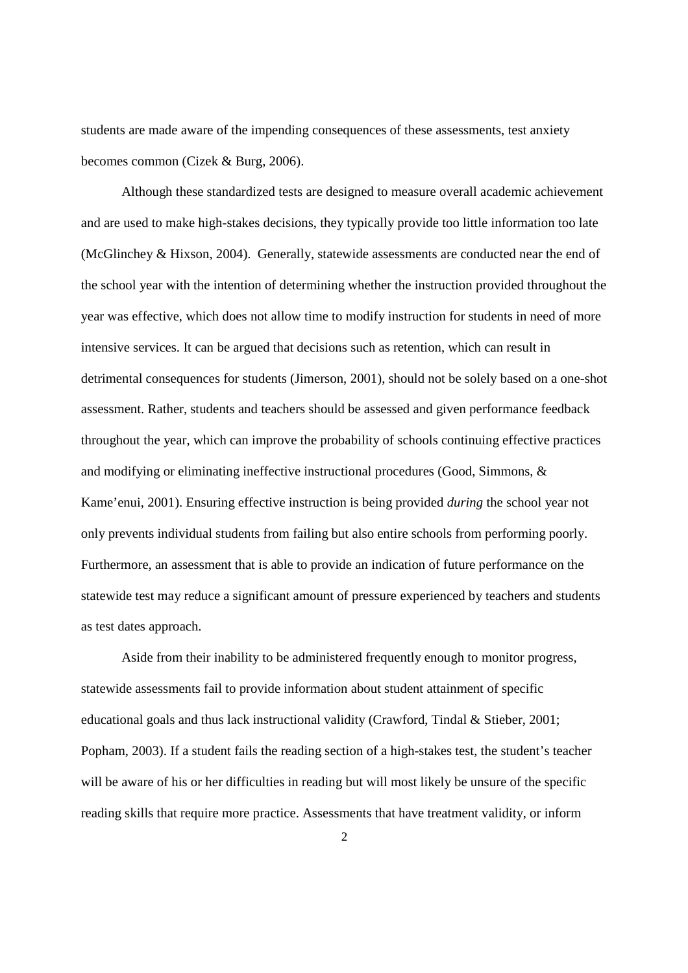students are made aware of the impending consequences of these assessments, test anxiety becomes common (Cizek & Burg, 2006).

Although these standardized tests are designed to measure overall academic achievement and are used to make high-stakes decisions, they typically provide too little information too late (McGlinchey & Hixson, 2004). Generally, statewide assessments are conducted near the end of the school year with the intention of determining whether the instruction provided throughout the year was effective, which does not allow time to modify instruction for students in need of more intensive services. It can be argued that decisions such as retention, which can result in detrimental consequences for students (Jimerson, 2001), should not be solely based on a one-shot assessment. Rather, students and teachers should be assessed and given performance feedback throughout the year, which can improve the probability of schools continuing effective practices and modifying or eliminating ineffective instructional procedures (Good, Simmons, & Kame'enui, 2001). Ensuring effective instruction is being provided *during* the school year not only prevents individual students from failing but also entire schools from performing poorly. Furthermore, an assessment that is able to provide an indication of future performance on the statewide test may reduce a significant amount of pressure experienced by teachers and students as test dates approach.

Aside from their inability to be administered frequently enough to monitor progress, statewide assessments fail to provide information about student attainment of specific educational goals and thus lack instructional validity (Crawford, Tindal & Stieber, 2001; Popham, 2003). If a student fails the reading section of a high-stakes test, the student's teacher will be aware of his or her difficulties in reading but will most likely be unsure of the specific reading skills that require more practice. Assessments that have treatment validity, or inform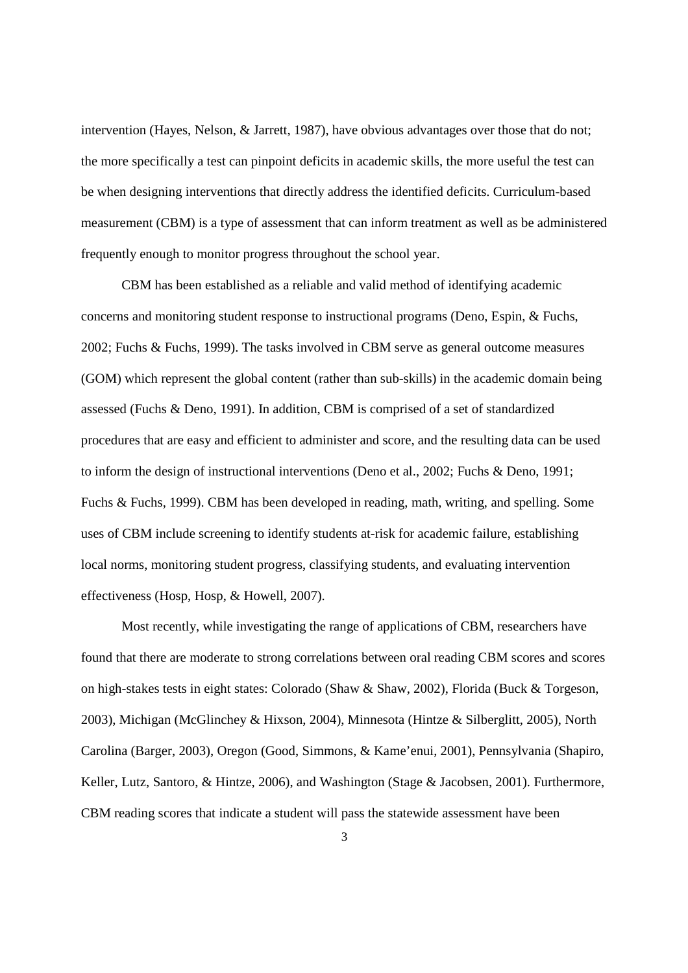intervention (Hayes, Nelson, & Jarrett, 1987), have obvious advantages over those that do not; the more specifically a test can pinpoint deficits in academic skills, the more useful the test can be when designing interventions that directly address the identified deficits. Curriculum-based measurement (CBM) is a type of assessment that can inform treatment as well as be administered frequently enough to monitor progress throughout the school year.

CBM has been established as a reliable and valid method of identifying academic concerns and monitoring student response to instructional programs (Deno, Espin, & Fuchs, 2002; Fuchs & Fuchs, 1999). The tasks involved in CBM serve as general outcome measures (GOM) which represent the global content (rather than sub-skills) in the academic domain being assessed (Fuchs & Deno, 1991). In addition, CBM is comprised of a set of standardized procedures that are easy and efficient to administer and score, and the resulting data can be used to inform the design of instructional interventions (Deno et al., 2002; Fuchs & Deno, 1991; Fuchs & Fuchs, 1999). CBM has been developed in reading, math, writing, and spelling. Some uses of CBM include screening to identify students at-risk for academic failure, establishing local norms, monitoring student progress, classifying students, and evaluating intervention effectiveness (Hosp, Hosp, & Howell, 2007).

Most recently, while investigating the range of applications of CBM, researchers have found that there are moderate to strong correlations between oral reading CBM scores and scores on high-stakes tests in eight states: Colorado (Shaw & Shaw, 2002), Florida (Buck & Torgeson, 2003), Michigan (McGlinchey & Hixson, 2004), Minnesota (Hintze & Silberglitt, 2005), North Carolina (Barger, 2003), Oregon (Good, Simmons, & Kame'enui, 2001), Pennsylvania (Shapiro, Keller, Lutz, Santoro, & Hintze, 2006), and Washington (Stage & Jacobsen, 2001). Furthermore, CBM reading scores that indicate a student will pass the statewide assessment have been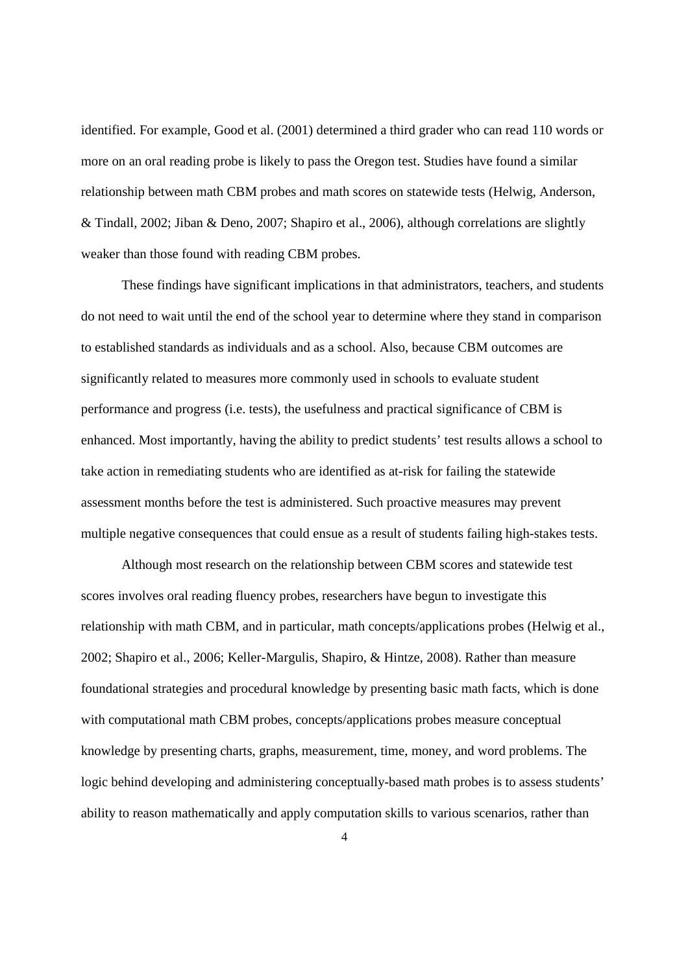identified. For example, Good et al. (2001) determined a third grader who can read 110 words or more on an oral reading probe is likely to pass the Oregon test. Studies have found a similar relationship between math CBM probes and math scores on statewide tests (Helwig, Anderson, & Tindall, 2002; Jiban & Deno, 2007; Shapiro et al., 2006), although correlations are slightly weaker than those found with reading CBM probes.

These findings have significant implications in that administrators, teachers, and students do not need to wait until the end of the school year to determine where they stand in comparison to established standards as individuals and as a school. Also, because CBM outcomes are significantly related to measures more commonly used in schools to evaluate student performance and progress (i.e. tests), the usefulness and practical significance of CBM is enhanced. Most importantly, having the ability to predict students' test results allows a school to take action in remediating students who are identified as at-risk for failing the statewide assessment months before the test is administered. Such proactive measures may prevent multiple negative consequences that could ensue as a result of students failing high-stakes tests.

Although most research on the relationship between CBM scores and statewide test scores involves oral reading fluency probes, researchers have begun to investigate this relationship with math CBM, and in particular, math concepts/applications probes (Helwig et al., 2002; Shapiro et al., 2006; Keller-Margulis, Shapiro, & Hintze, 2008). Rather than measure foundational strategies and procedural knowledge by presenting basic math facts, which is done with computational math CBM probes, concepts/applications probes measure conceptual knowledge by presenting charts, graphs, measurement, time, money, and word problems. The logic behind developing and administering conceptually-based math probes is to assess students' ability to reason mathematically and apply computation skills to various scenarios, rather than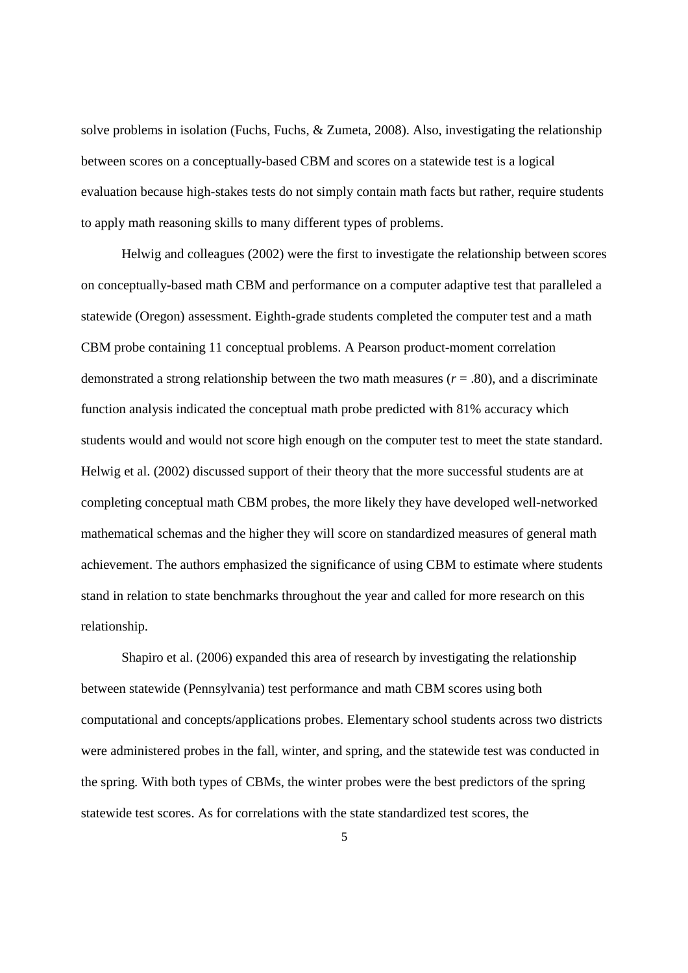solve problems in isolation (Fuchs, Fuchs, & Zumeta, 2008). Also, investigating the relationship between scores on a conceptually-based CBM and scores on a statewide test is a logical evaluation because high-stakes tests do not simply contain math facts but rather, require students to apply math reasoning skills to many different types of problems.

Helwig and colleagues (2002) were the first to investigate the relationship between scores on conceptually-based math CBM and performance on a computer adaptive test that paralleled a statewide (Oregon) assessment. Eighth-grade students completed the computer test and a math CBM probe containing 11 conceptual problems. A Pearson product-moment correlation demonstrated a strong relationship between the two math measures  $(r = .80)$ , and a discriminate function analysis indicated the conceptual math probe predicted with 81% accuracy which students would and would not score high enough on the computer test to meet the state standard. Helwig et al. (2002) discussed support of their theory that the more successful students are at completing conceptual math CBM probes, the more likely they have developed well-networked mathematical schemas and the higher they will score on standardized measures of general math achievement. The authors emphasized the significance of using CBM to estimate where students stand in relation to state benchmarks throughout the year and called for more research on this relationship.

Shapiro et al. (2006) expanded this area of research by investigating the relationship between statewide (Pennsylvania) test performance and math CBM scores using both computational and concepts/applications probes. Elementary school students across two districts were administered probes in the fall, winter, and spring, and the statewide test was conducted in the spring. With both types of CBMs, the winter probes were the best predictors of the spring statewide test scores. As for correlations with the state standardized test scores, the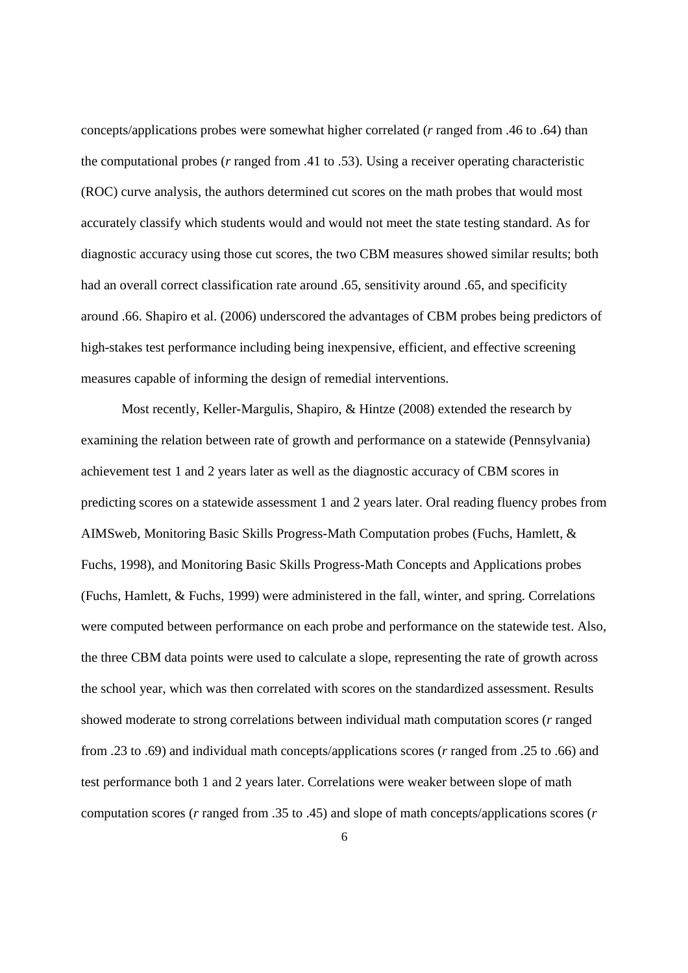concepts/applications probes were somewhat higher correlated (*r* ranged from .46 to .64) than the computational probes (*r* ranged from .41 to .53). Using a receiver operating characteristic (ROC) curve analysis, the authors determined cut scores on the math probes that would most accurately classify which students would and would not meet the state testing standard. As for diagnostic accuracy using those cut scores, the two CBM measures showed similar results; both had an overall correct classification rate around .65, sensitivity around .65, and specificity around .66. Shapiro et al. (2006) underscored the advantages of CBM probes being predictors of high-stakes test performance including being inexpensive, efficient, and effective screening measures capable of informing the design of remedial interventions.

Most recently, Keller-Margulis, Shapiro, & Hintze (2008) extended the research by examining the relation between rate of growth and performance on a statewide (Pennsylvania) achievement test 1 and 2 years later as well as the diagnostic accuracy of CBM scores in predicting scores on a statewide assessment 1 and 2 years later. Oral reading fluency probes from AIMSweb, Monitoring Basic Skills Progress-Math Computation probes (Fuchs, Hamlett, & Fuchs, 1998), and Monitoring Basic Skills Progress-Math Concepts and Applications probes (Fuchs, Hamlett, & Fuchs, 1999) were administered in the fall, winter, and spring. Correlations were computed between performance on each probe and performance on the statewide test. Also, the three CBM data points were used to calculate a slope, representing the rate of growth across the school year, which was then correlated with scores on the standardized assessment. Results showed moderate to strong correlations between individual math computation scores (*r* ranged from .23 to .69) and individual math concepts/applications scores (*r* ranged from .25 to .66) and test performance both 1 and 2 years later. Correlations were weaker between slope of math computation scores (*r* ranged from .35 to .45) and slope of math concepts/applications scores (*r*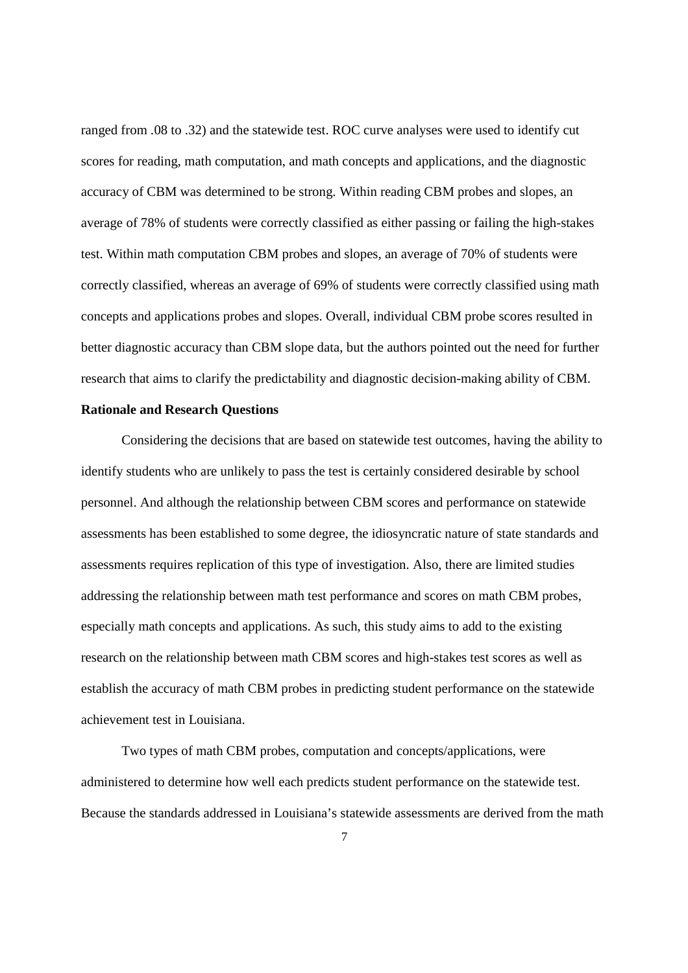ranged from .08 to .32) and the statewide test. ROC curve analyses were used to identify cut scores for reading, math computation, and math concepts and applications, and the diagnostic accuracy of CBM was determined to be strong. Within reading CBM probes and slopes, an average of 78% of students were correctly classified as either passing or failing the high-stakes test. Within math computation CBM probes and slopes, an average of 70% of students were correctly classified, whereas an average of 69% of students were correctly classified using math concepts and applications probes and slopes. Overall, individual CBM probe scores resulted in better diagnostic accuracy than CBM slope data, but the authors pointed out the need for further research that aims to clarify the predictability and diagnostic decision-making ability of CBM.

#### **Rationale and Research Questions**

Considering the decisions that are based on statewide test outcomes, having the ability to identify students who are unlikely to pass the test is certainly considered desirable by school personnel. And although the relationship between CBM scores and performance on statewide assessments has been established to some degree, the idiosyncratic nature of state standards and assessments requires replication of this type of investigation. Also, there are limited studies addressing the relationship between math test performance and scores on math CBM probes, especially math concepts and applications. As such, this study aims to add to the existing research on the relationship between math CBM scores and high-stakes test scores as well as establish the accuracy of math CBM probes in predicting student performance on the statewide achievement test in Louisiana.

Two types of math CBM probes, computation and concepts/applications, were administered to determine how well each predicts student performance on the statewide test. Because the standards addressed in Louisiana's statewide assessments are derived from the math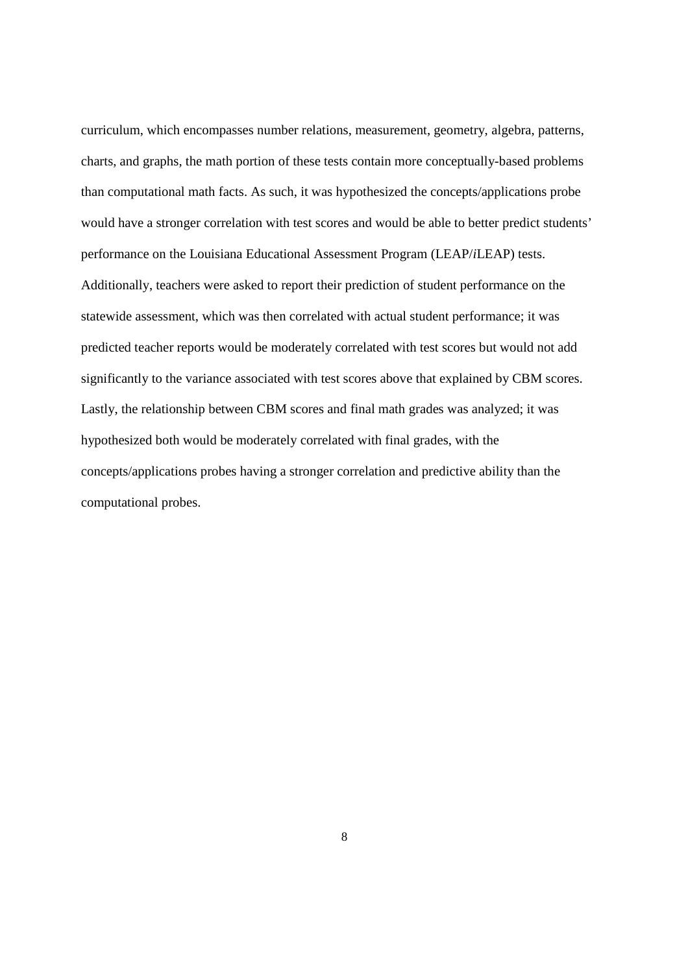curriculum, which encompasses number relations, measurement, geometry, algebra, patterns, charts, and graphs, the math portion of these tests contain more conceptually-based problems than computational math facts. As such, it was hypothesized the concepts/applications probe would have a stronger correlation with test scores and would be able to better predict students' performance on the Louisiana Educational Assessment Program (LEAP/*i*LEAP) tests. Additionally, teachers were asked to report their prediction of student performance on the statewide assessment, which was then correlated with actual student performance; it was predicted teacher reports would be moderately correlated with test scores but would not add significantly to the variance associated with test scores above that explained by CBM scores. Lastly, the relationship between CBM scores and final math grades was analyzed; it was hypothesized both would be moderately correlated with final grades, with the concepts/applications probes having a stronger correlation and predictive ability than the computational probes.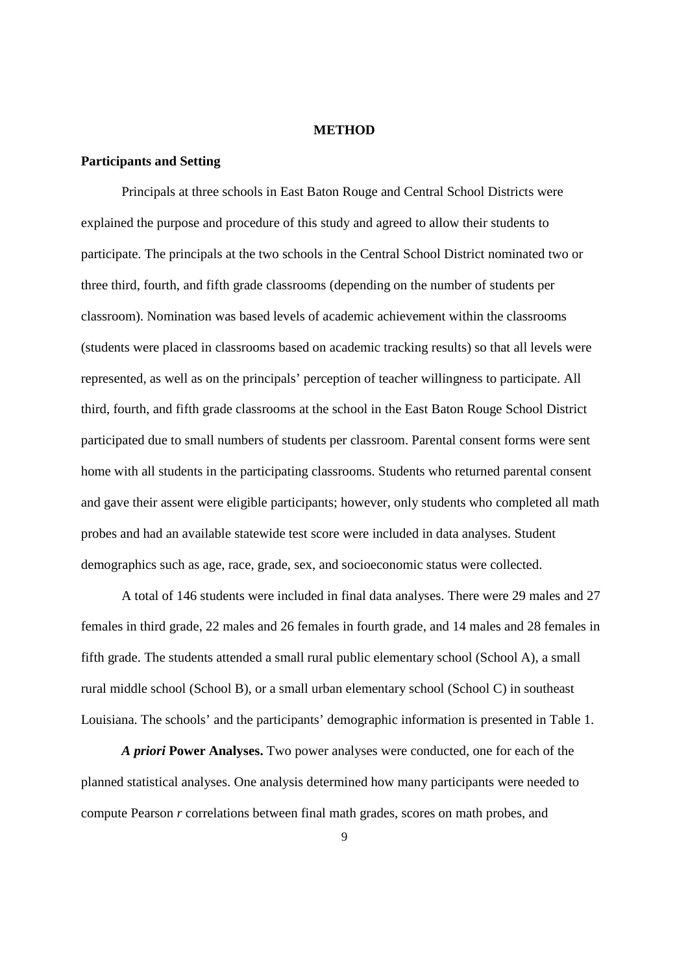#### **METHOD**

#### **Participants and Setting**

 Principals at three schools in East Baton Rouge and Central School Districts were explained the purpose and procedure of this study and agreed to allow their students to participate. The principals at the two schools in the Central School District nominated two or three third, fourth, and fifth grade classrooms (depending on the number of students per classroom). Nomination was based levels of academic achievement within the classrooms (students were placed in classrooms based on academic tracking results) so that all levels were represented, as well as on the principals' perception of teacher willingness to participate. All third, fourth, and fifth grade classrooms at the school in the East Baton Rouge School District participated due to small numbers of students per classroom. Parental consent forms were sent home with all students in the participating classrooms. Students who returned parental consent and gave their assent were eligible participants; however, only students who completed all math probes and had an available statewide test score were included in data analyses. Student demographics such as age, race, grade, sex, and socioeconomic status were collected.

 A total of 146 students were included in final data analyses. There were 29 males and 27 females in third grade, 22 males and 26 females in fourth grade, and 14 males and 28 females in fifth grade. The students attended a small rural public elementary school (School A), a small rural middle school (School B), or a small urban elementary school (School C) in southeast Louisiana. The schools' and the participants' demographic information is presented in Table 1.

*A priori* **Power Analyses.** Two power analyses were conducted, one for each of the planned statistical analyses. One analysis determined how many participants were needed to compute Pearson *r* correlations between final math grades, scores on math probes, and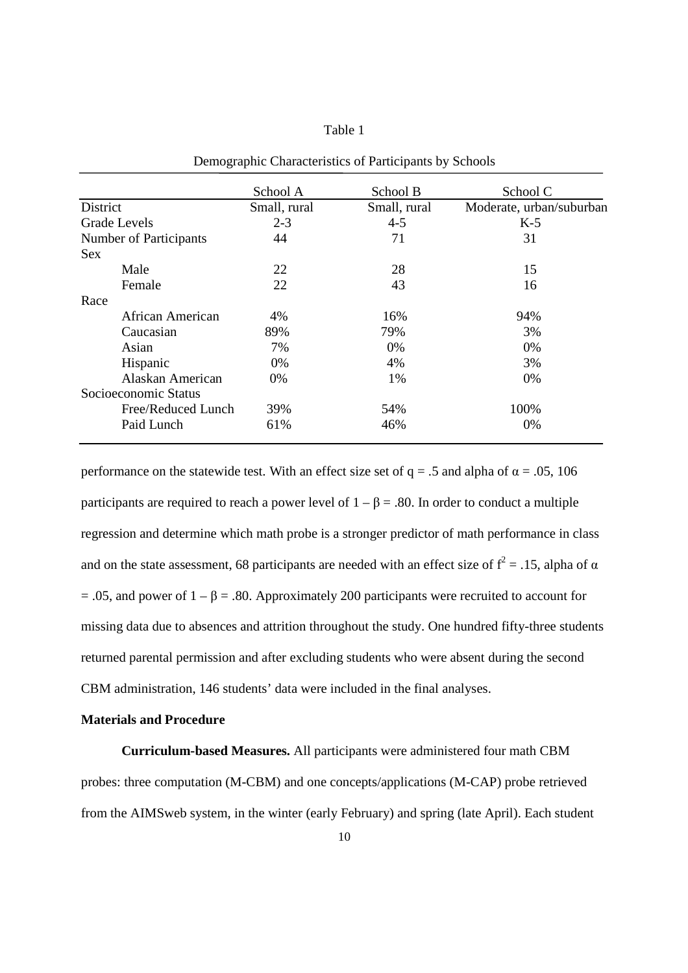### Table 1

|                        | School A     | School B     | School C                 |
|------------------------|--------------|--------------|--------------------------|
| District               | Small, rural | Small, rural | Moderate, urban/suburban |
| <b>Grade Levels</b>    | $2 - 3$      | $4 - 5$      | $K-5$                    |
| Number of Participants | 44           | 71           | 31                       |
| <b>Sex</b>             |              |              |                          |
| Male                   | 22           | 28           | 15                       |
| Female                 | 22           | 43           | 16                       |
| Race                   |              |              |                          |
| African American       | 4%           | 16%          | 94%                      |
| Caucasian              | 89%          | 79%          | 3%                       |
| Asian                  | 7%           | 0%           | 0%                       |
| Hispanic               | 0%           | 4%           | 3%                       |
| Alaskan American       | $0\%$        | 1%           | 0%                       |
| Socioeconomic Status   |              |              |                          |
| Free/Reduced Lunch     | 39%          | 54%          | 100%                     |
| Paid Lunch             | 61%          | 46%          | 0%                       |

Demographic Characteristics of Participants by Schools

performance on the statewide test. With an effect size set of  $q = .5$  and alpha of  $\alpha = .05, 106$ participants are required to reach a power level of  $1 - \beta = .80$ . In order to conduct a multiple regression and determine which math probe is a stronger predictor of math performance in class and on the state assessment, 68 participants are needed with an effect size of  $f^2 = .15$ , alpha of  $\alpha$  $= .05$ , and power of  $1 - \beta = .80$ . Approximately 200 participants were recruited to account for missing data due to absences and attrition throughout the study. One hundred fifty-three students returned parental permission and after excluding students who were absent during the second CBM administration, 146 students' data were included in the final analyses.

#### **Materials and Procedure**

**Curriculum-based Measures.** All participants were administered four math CBM probes: three computation (M-CBM) and one concepts/applications (M-CAP) probe retrieved from the AIMSweb system, in the winter (early February) and spring (late April). Each student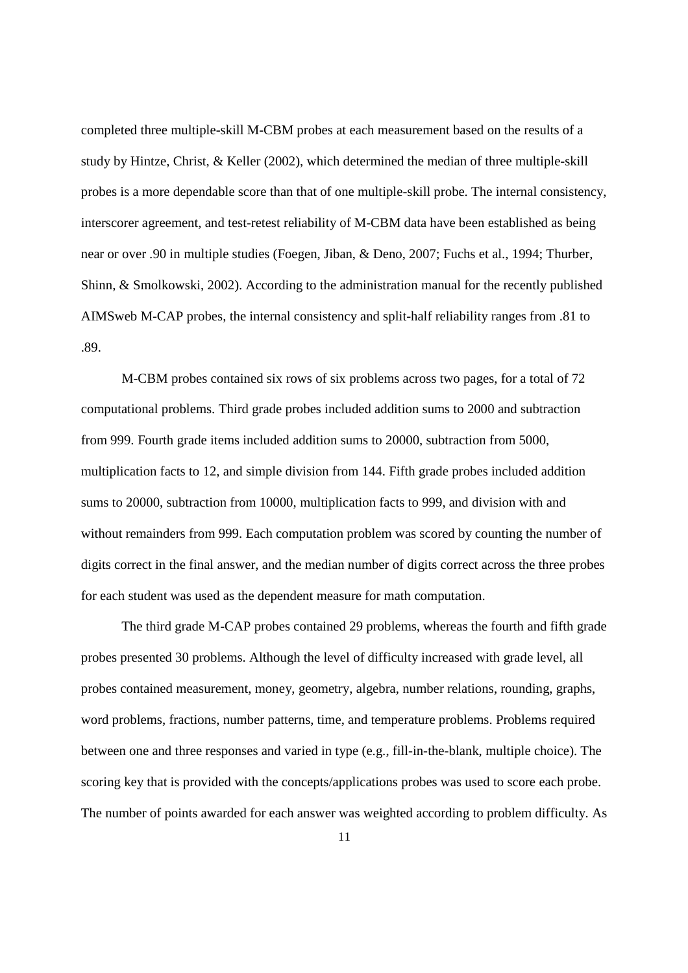completed three multiple-skill M-CBM probes at each measurement based on the results of a study by Hintze, Christ, & Keller (2002), which determined the median of three multiple-skill probes is a more dependable score than that of one multiple-skill probe. The internal consistency, interscorer agreement, and test-retest reliability of M-CBM data have been established as being near or over .90 in multiple studies (Foegen, Jiban, & Deno, 2007; Fuchs et al., 1994; Thurber, Shinn, & Smolkowski, 2002). According to the administration manual for the recently published AIMSweb M-CAP probes, the internal consistency and split-half reliability ranges from .81 to .89.

M-CBM probes contained six rows of six problems across two pages, for a total of 72 computational problems. Third grade probes included addition sums to 2000 and subtraction from 999. Fourth grade items included addition sums to 20000, subtraction from 5000, multiplication facts to 12, and simple division from 144. Fifth grade probes included addition sums to 20000, subtraction from 10000, multiplication facts to 999, and division with and without remainders from 999. Each computation problem was scored by counting the number of digits correct in the final answer, and the median number of digits correct across the three probes for each student was used as the dependent measure for math computation.

The third grade M-CAP probes contained 29 problems, whereas the fourth and fifth grade probes presented 30 problems. Although the level of difficulty increased with grade level, all probes contained measurement, money, geometry, algebra, number relations, rounding, graphs, word problems, fractions, number patterns, time, and temperature problems. Problems required between one and three responses and varied in type (e.g., fill-in-the-blank, multiple choice). The scoring key that is provided with the concepts/applications probes was used to score each probe. The number of points awarded for each answer was weighted according to problem difficulty. As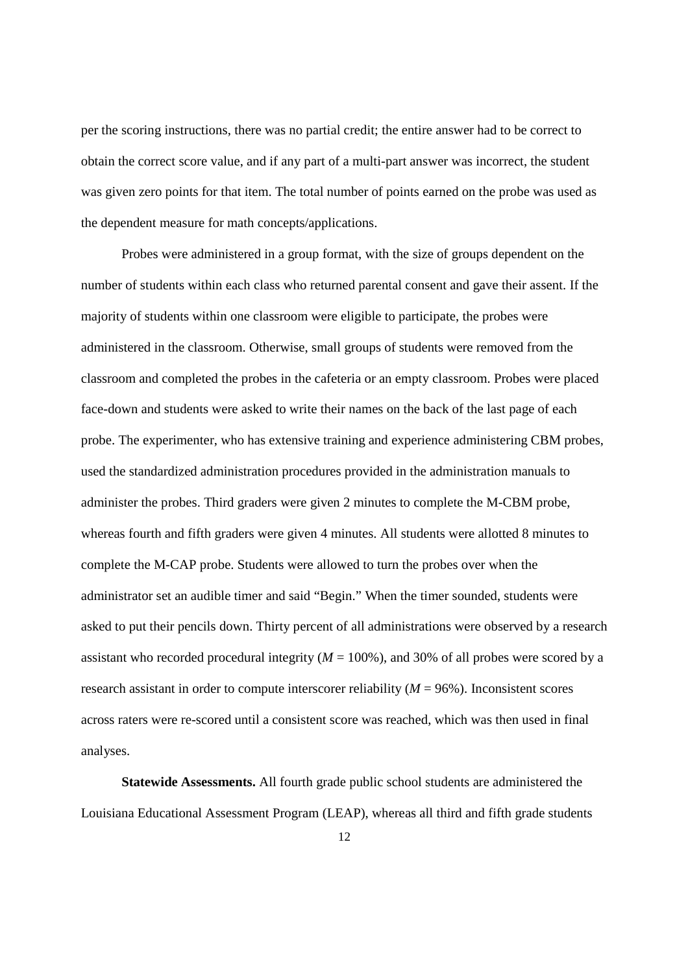per the scoring instructions, there was no partial credit; the entire answer had to be correct to obtain the correct score value, and if any part of a multi-part answer was incorrect, the student was given zero points for that item. The total number of points earned on the probe was used as the dependent measure for math concepts/applications.

Probes were administered in a group format, with the size of groups dependent on the number of students within each class who returned parental consent and gave their assent. If the majority of students within one classroom were eligible to participate, the probes were administered in the classroom. Otherwise, small groups of students were removed from the classroom and completed the probes in the cafeteria or an empty classroom. Probes were placed face-down and students were asked to write their names on the back of the last page of each probe. The experimenter, who has extensive training and experience administering CBM probes, used the standardized administration procedures provided in the administration manuals to administer the probes. Third graders were given 2 minutes to complete the M-CBM probe, whereas fourth and fifth graders were given 4 minutes. All students were allotted 8 minutes to complete the M-CAP probe. Students were allowed to turn the probes over when the administrator set an audible timer and said "Begin." When the timer sounded, students were asked to put their pencils down. Thirty percent of all administrations were observed by a research assistant who recorded procedural integrity  $(M = 100\%)$ , and 30% of all probes were scored by a research assistant in order to compute interscorer reliability ( $M = 96\%$ ). Inconsistent scores across raters were re-scored until a consistent score was reached, which was then used in final analyses.

**Statewide Assessments.** All fourth grade public school students are administered the Louisiana Educational Assessment Program (LEAP), whereas all third and fifth grade students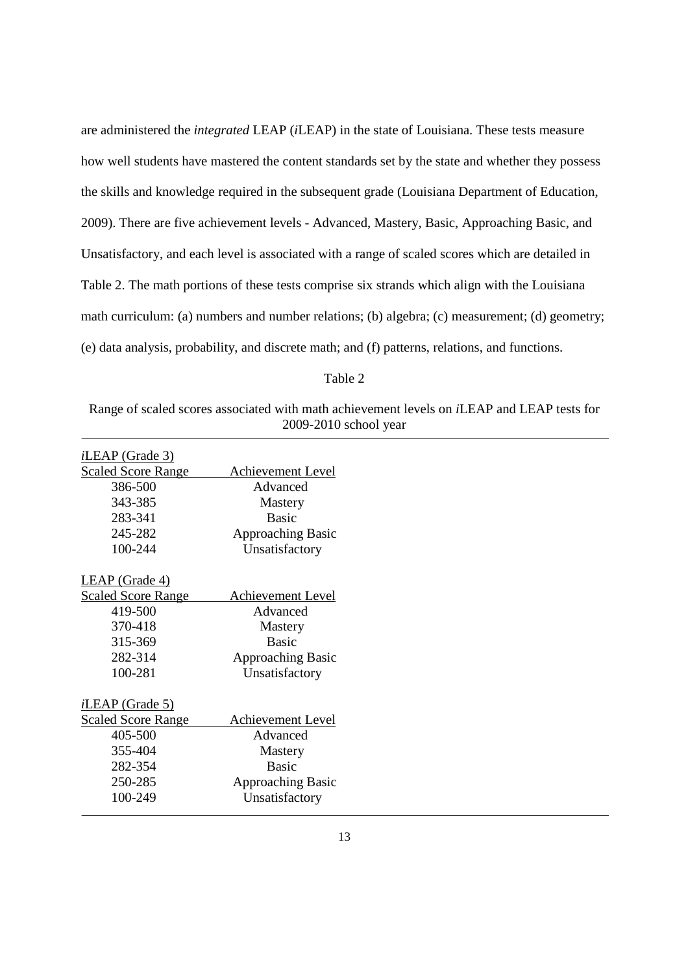are administered the *integrated* LEAP (*i*LEAP) in the state of Louisiana. These tests measure how well students have mastered the content standards set by the state and whether they possess the skills and knowledge required in the subsequent grade (Louisiana Department of Education, 2009). There are five achievement levels - Advanced, Mastery, Basic, Approaching Basic, and Unsatisfactory, and each level is associated with a range of scaled scores which are detailed in Table 2. The math portions of these tests comprise six strands which align with the Louisiana math curriculum: (a) numbers and number relations; (b) algebra; (c) measurement; (d) geometry; (e) data analysis, probability, and discrete math; and (f) patterns, relations, and functions.

#### Table 2

### Range of scaled scores associated with math achievement levels on *i*LEAP and LEAP tests for 2009-2010 school year

| $iLEAP$ (Grade 3)         |                          |
|---------------------------|--------------------------|
| <b>Scaled Score Range</b> | Achievement Level        |
| 386-500                   | Advanced                 |
| 343-385                   | <b>Mastery</b>           |
| 283-341                   | <b>Basic</b>             |
| 245-282                   | <b>Approaching Basic</b> |
| 100-244                   | Unsatisfactory           |
|                           |                          |
| LEAP (Grade 4)            |                          |
| <b>Scaled Score Range</b> | Achievement Level        |
| 419-500                   | Advanced                 |
| 370-418                   | Mastery                  |
| 315-369                   | <b>Basic</b>             |
| 282-314                   | <b>Approaching Basic</b> |
| 100-281                   | Unsatisfactory           |
|                           |                          |
| $iLEAP$ (Grade 5)         |                          |
| <b>Scaled Score Range</b> | Achievement Level        |
| 405-500                   | Advanced                 |
| 355-404                   | Mastery                  |
| 282-354                   | <b>Basic</b>             |
| 250-285                   | <b>Approaching Basic</b> |
| 100-249                   | Unsatisfactory           |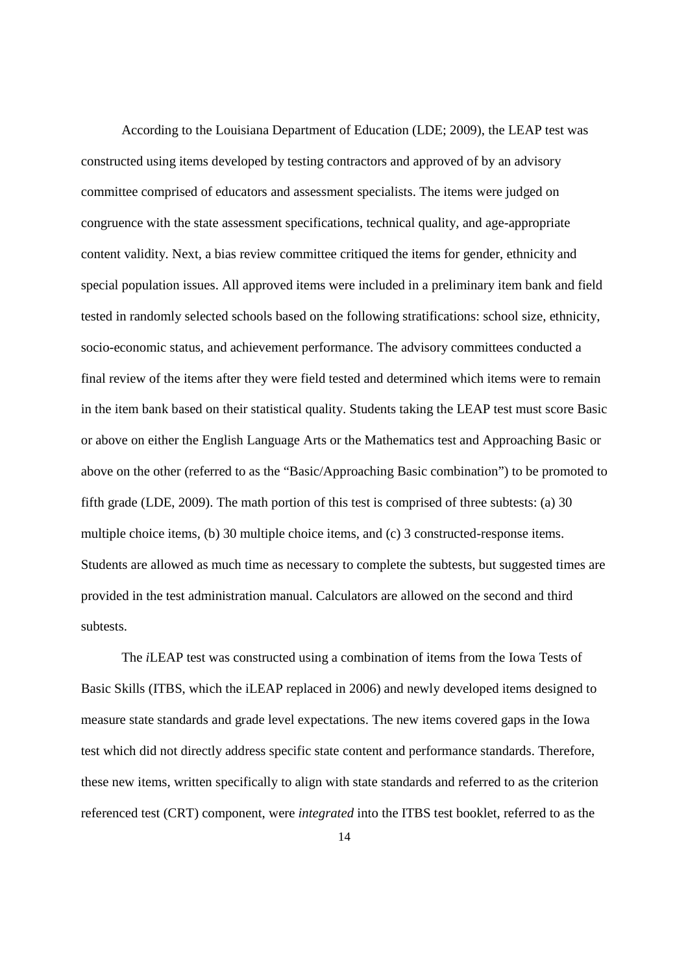According to the Louisiana Department of Education (LDE; 2009), the LEAP test was constructed using items developed by testing contractors and approved of by an advisory committee comprised of educators and assessment specialists. The items were judged on congruence with the state assessment specifications, technical quality, and age-appropriate content validity. Next, a bias review committee critiqued the items for gender, ethnicity and special population issues. All approved items were included in a preliminary item bank and field tested in randomly selected schools based on the following stratifications: school size, ethnicity, socio-economic status, and achievement performance. The advisory committees conducted a final review of the items after they were field tested and determined which items were to remain in the item bank based on their statistical quality. Students taking the LEAP test must score Basic or above on either the English Language Arts or the Mathematics test and Approaching Basic or above on the other (referred to as the "Basic/Approaching Basic combination") to be promoted to fifth grade (LDE, 2009). The math portion of this test is comprised of three subtests: (a) 30 multiple choice items, (b) 30 multiple choice items, and (c) 3 constructed-response items. Students are allowed as much time as necessary to complete the subtests, but suggested times are provided in the test administration manual. Calculators are allowed on the second and third subtests.

 The *i*LEAP test was constructed using a combination of items from the Iowa Tests of Basic Skills (ITBS, which the iLEAP replaced in 2006) and newly developed items designed to measure state standards and grade level expectations. The new items covered gaps in the Iowa test which did not directly address specific state content and performance standards. Therefore, these new items, written specifically to align with state standards and referred to as the criterion referenced test (CRT) component, were *integrated* into the ITBS test booklet, referred to as the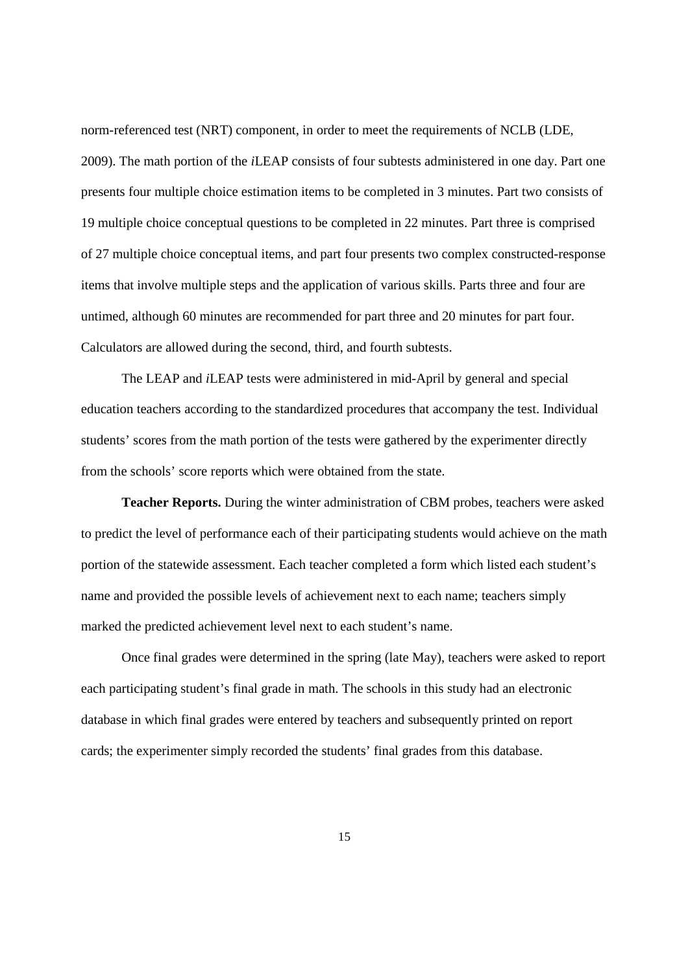norm-referenced test (NRT) component, in order to meet the requirements of NCLB (LDE, 2009). The math portion of the *i*LEAP consists of four subtests administered in one day. Part one presents four multiple choice estimation items to be completed in 3 minutes. Part two consists of 19 multiple choice conceptual questions to be completed in 22 minutes. Part three is comprised of 27 multiple choice conceptual items, and part four presents two complex constructed-response items that involve multiple steps and the application of various skills. Parts three and four are untimed, although 60 minutes are recommended for part three and 20 minutes for part four. Calculators are allowed during the second, third, and fourth subtests.

The LEAP and *i*LEAP tests were administered in mid-April by general and special education teachers according to the standardized procedures that accompany the test. Individual students' scores from the math portion of the tests were gathered by the experimenter directly from the schools' score reports which were obtained from the state.

**Teacher Reports.** During the winter administration of CBM probes, teachers were asked to predict the level of performance each of their participating students would achieve on the math portion of the statewide assessment. Each teacher completed a form which listed each student's name and provided the possible levels of achievement next to each name; teachers simply marked the predicted achievement level next to each student's name.

Once final grades were determined in the spring (late May), teachers were asked to report each participating student's final grade in math. The schools in this study had an electronic database in which final grades were entered by teachers and subsequently printed on report cards; the experimenter simply recorded the students' final grades from this database.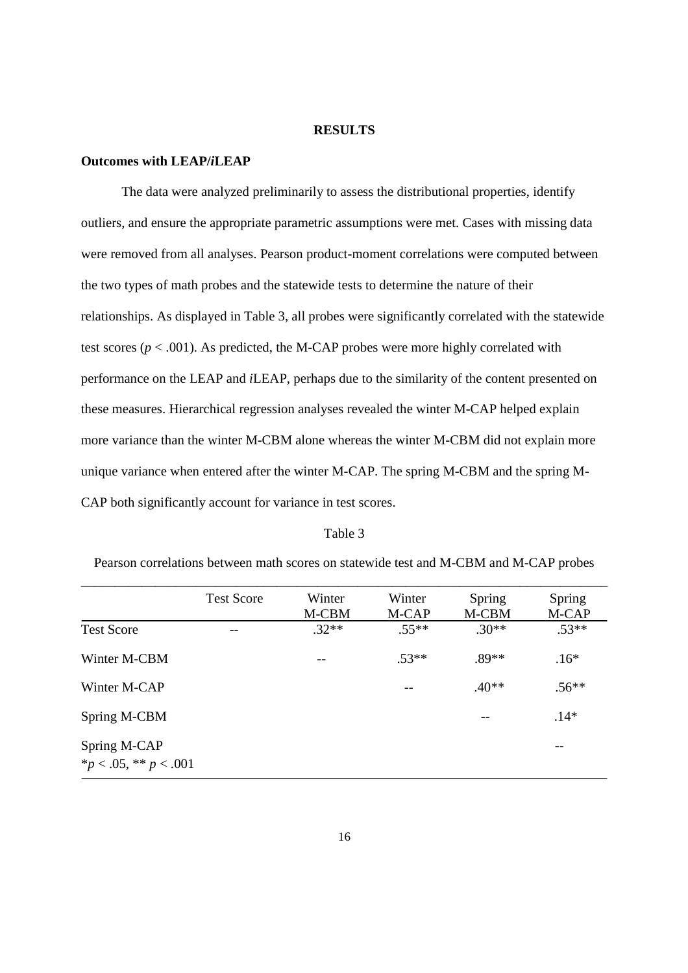#### **RESULTS**

## **Outcomes with LEAP/***i***LEAP**

The data were analyzed preliminarily to assess the distributional properties, identify outliers, and ensure the appropriate parametric assumptions were met. Cases with missing data were removed from all analyses. Pearson product-moment correlations were computed between the two types of math probes and the statewide tests to determine the nature of their relationships. As displayed in Table 3, all probes were significantly correlated with the statewide test scores ( $p < .001$ ). As predicted, the M-CAP probes were more highly correlated with performance on the LEAP and *i*LEAP, perhaps due to the similarity of the content presented on these measures. Hierarchical regression analyses revealed the winter M-CAP helped explain more variance than the winter M-CBM alone whereas the winter M-CBM did not explain more unique variance when entered after the winter M-CAP. The spring M-CBM and the spring M-CAP both significantly account for variance in test scores.

#### Table 3

|                                              | <b>Test Score</b> | Winter<br>M-CBM | Winter<br>M-CAP | Spring<br>M-CBM | Spring<br>M-CAP |
|----------------------------------------------|-------------------|-----------------|-----------------|-----------------|-----------------|
| <b>Test Score</b>                            |                   | $.32**$         | $.55**$         | $.30**$         | $.53**$         |
| Winter M-CBM                                 |                   | --              | $.53**$         | $.89**$         | $.16*$          |
| Winter M-CAP                                 |                   |                 |                 | $.40**$         | $.56**$         |
| Spring M-CBM                                 |                   |                 |                 |                 | $.14*$          |
| Spring M-CAP<br>$*_{p}$ < .05, ** $p$ < .001 |                   |                 |                 |                 | --              |

Pearson correlations between math scores on statewide test and M-CBM and M-CAP probes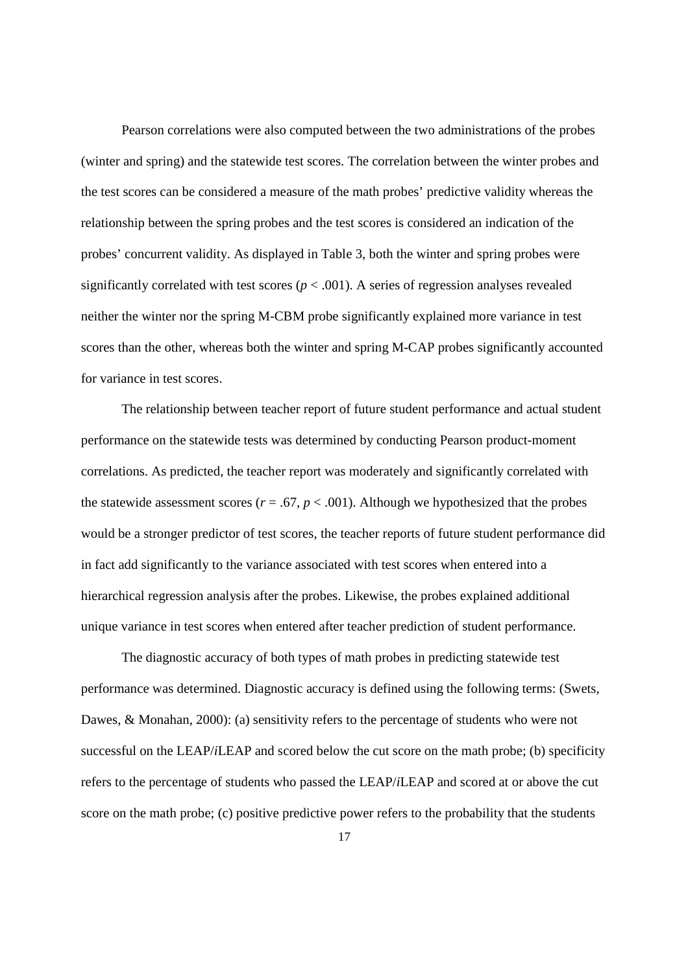Pearson correlations were also computed between the two administrations of the probes (winter and spring) and the statewide test scores. The correlation between the winter probes and the test scores can be considered a measure of the math probes' predictive validity whereas the relationship between the spring probes and the test scores is considered an indication of the probes' concurrent validity. As displayed in Table 3, both the winter and spring probes were significantly correlated with test scores ( $p < .001$ ). A series of regression analyses revealed neither the winter nor the spring M-CBM probe significantly explained more variance in test scores than the other, whereas both the winter and spring M-CAP probes significantly accounted for variance in test scores.

 The relationship between teacher report of future student performance and actual student performance on the statewide tests was determined by conducting Pearson product-moment correlations. As predicted, the teacher report was moderately and significantly correlated with the statewide assessment scores ( $r = .67$ ,  $p < .001$ ). Although we hypothesized that the probes would be a stronger predictor of test scores, the teacher reports of future student performance did in fact add significantly to the variance associated with test scores when entered into a hierarchical regression analysis after the probes. Likewise, the probes explained additional unique variance in test scores when entered after teacher prediction of student performance.

The diagnostic accuracy of both types of math probes in predicting statewide test performance was determined. Diagnostic accuracy is defined using the following terms: (Swets, Dawes, & Monahan, 2000): (a) sensitivity refers to the percentage of students who were not successful on the LEAP/*i*LEAP and scored below the cut score on the math probe; (b) specificity refers to the percentage of students who passed the LEAP/*i*LEAP and scored at or above the cut score on the math probe; (c) positive predictive power refers to the probability that the students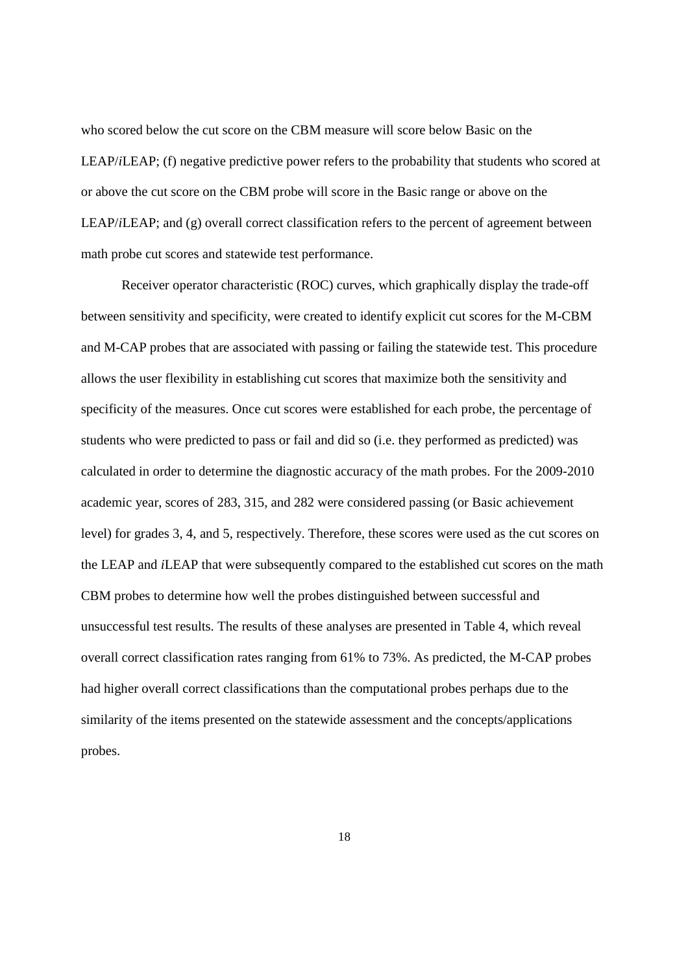who scored below the cut score on the CBM measure will score below Basic on the LEAP/*i*LEAP; (f) negative predictive power refers to the probability that students who scored at or above the cut score on the CBM probe will score in the Basic range or above on the LEAP/*i*LEAP; and (g) overall correct classification refers to the percent of agreement between math probe cut scores and statewide test performance.

Receiver operator characteristic (ROC) curves, which graphically display the trade-off between sensitivity and specificity, were created to identify explicit cut scores for the M-CBM and M-CAP probes that are associated with passing or failing the statewide test. This procedure allows the user flexibility in establishing cut scores that maximize both the sensitivity and specificity of the measures. Once cut scores were established for each probe, the percentage of students who were predicted to pass or fail and did so (i.e. they performed as predicted) was calculated in order to determine the diagnostic accuracy of the math probes. For the 2009-2010 academic year, scores of 283, 315, and 282 were considered passing (or Basic achievement level) for grades 3, 4, and 5, respectively. Therefore, these scores were used as the cut scores on the LEAP and *i*LEAP that were subsequently compared to the established cut scores on the math CBM probes to determine how well the probes distinguished between successful and unsuccessful test results. The results of these analyses are presented in Table 4, which reveal overall correct classification rates ranging from 61% to 73%. As predicted, the M-CAP probes had higher overall correct classifications than the computational probes perhaps due to the similarity of the items presented on the statewide assessment and the concepts/applications probes.

18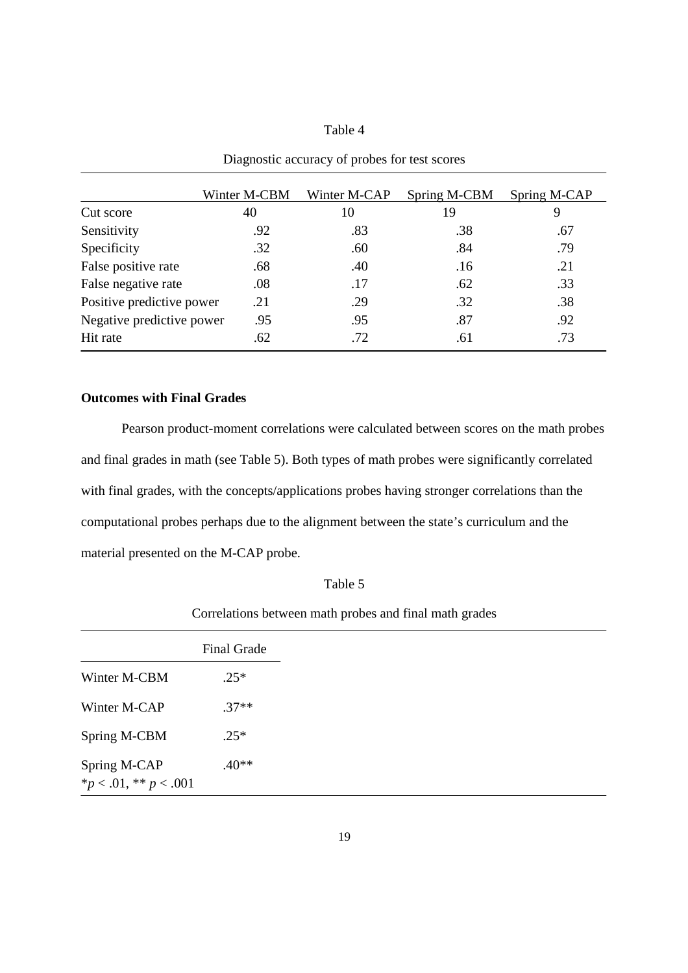## Table 4

|                           | Winter M-CBM | Winter M-CAP | Spring M-CBM | Spring M-CAP |
|---------------------------|--------------|--------------|--------------|--------------|
| Cut score                 | 40           | 10           | 19           |              |
| Sensitivity               | .92          | .83          | .38          | .67          |
| Specificity               | .32          | .60          | .84          | .79          |
| False positive rate       | .68          | .40          | .16          | .21          |
| False negative rate       | .08          | .17          | .62          | .33          |
| Positive predictive power | .21          | .29          | .32          | .38          |
| Negative predictive power | .95          | .95          | .87          | .92          |
| Hit rate                  | .62          | .72          | .61          | .73          |

Diagnostic accuracy of probes for test scores

### **Outcomes with Final Grades**

 Pearson product-moment correlations were calculated between scores on the math probes and final grades in math (see Table 5). Both types of math probes were significantly correlated with final grades, with the concepts/applications probes having stronger correlations than the computational probes perhaps due to the alignment between the state's curriculum and the material presented on the M-CAP probe.

| abie |  |
|------|--|
|      |  |

| Correlations between math probes and final math grades |  |  |  |  |
|--------------------------------------------------------|--|--|--|--|
|                                                        |  |  |  |  |

|                                             | <b>Final Grade</b> |
|---------------------------------------------|--------------------|
| Winter M-CBM                                | $.25*$             |
| Winter M-CAP                                | $.37**$            |
| Spring M-CBM                                | $.25*$             |
| Spring M-CAP<br>* $p < .01$ , ** $p < .001$ | $.40**$            |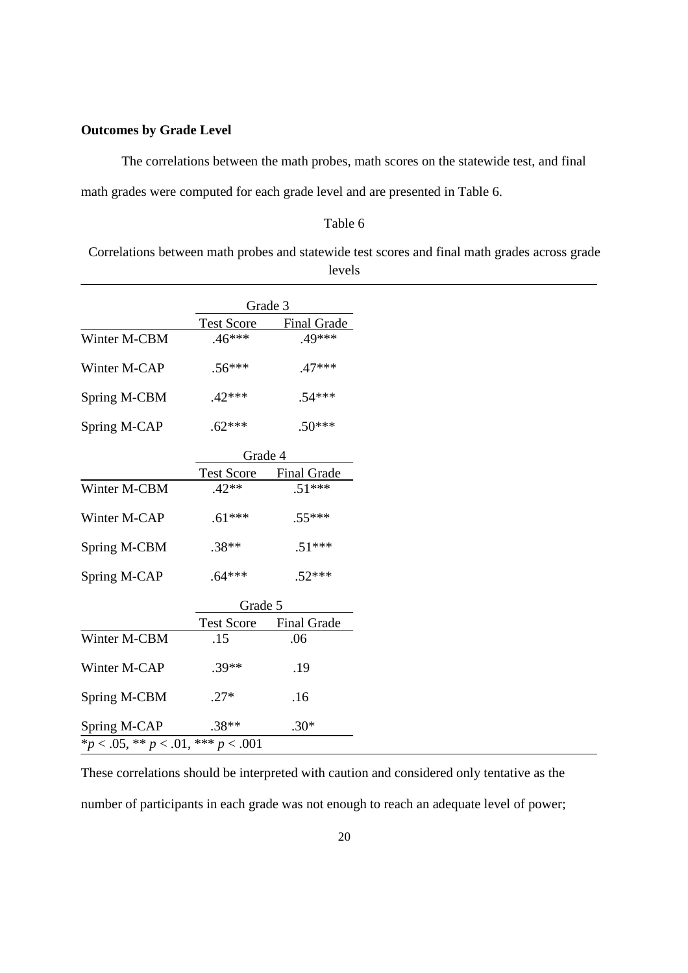### **Outcomes by Grade Level**

The correlations between the math probes, math scores on the statewide test, and final

math grades were computed for each grade level and are presented in Table 6.

## Table 6

Correlations between math probes and statewide test scores and final math grades across grade levels

| <b>Test Score</b><br>$.46***$<br>$.56***$<br>$.42***$<br>$.62***$<br>Grade 4<br>$42**$ | <b>Final Grade</b><br>.49***<br>$.47***$<br>$.54***$<br>$.50***$<br>Test Score Final Grade<br>$51***$ |
|----------------------------------------------------------------------------------------|-------------------------------------------------------------------------------------------------------|
|                                                                                        |                                                                                                       |
|                                                                                        |                                                                                                       |
|                                                                                        |                                                                                                       |
|                                                                                        |                                                                                                       |
|                                                                                        |                                                                                                       |
|                                                                                        |                                                                                                       |
|                                                                                        |                                                                                                       |
|                                                                                        |                                                                                                       |
| $.61***$                                                                               | $.55***$                                                                                              |
| $.38**$                                                                                | $.51***$                                                                                              |
| $.64***$                                                                               | $.52***$                                                                                              |
| Grade 5                                                                                |                                                                                                       |
| <b>Test Score</b>                                                                      | <b>Final Grade</b>                                                                                    |
| .15                                                                                    | .06                                                                                                   |
| $.39**$                                                                                | .19                                                                                                   |
| $.27*$                                                                                 | .16                                                                                                   |
| $.38**$                                                                                | $.30*$                                                                                                |
|                                                                                        | *p < .05, ** p < .01, *** p < .001                                                                    |

These correlations should be interpreted with caution and considered only tentative as the

number of participants in each grade was not enough to reach an adequate level of power;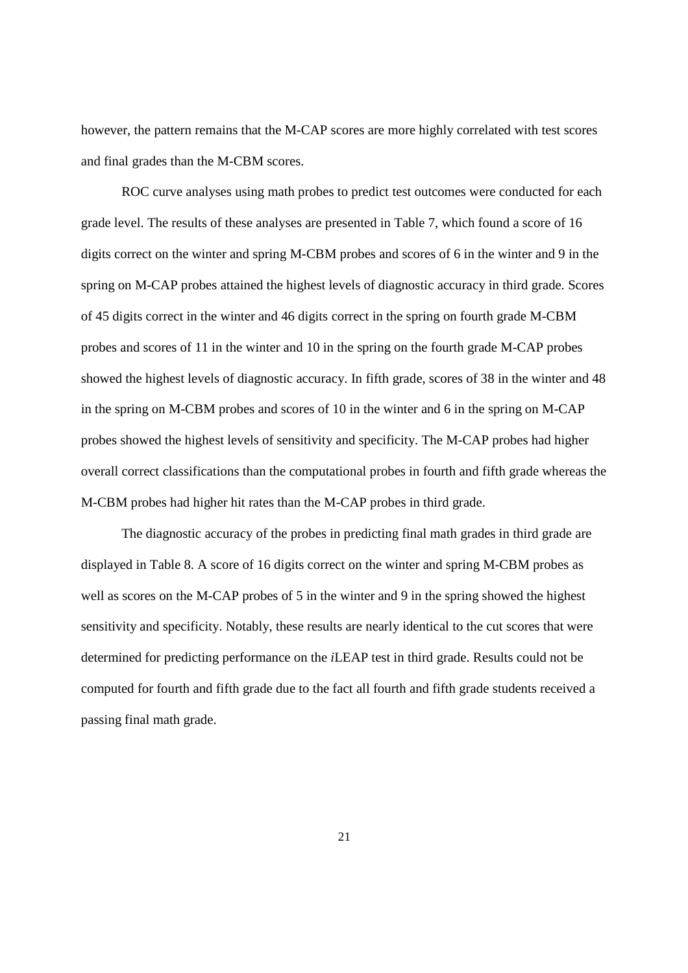however, the pattern remains that the M-CAP scores are more highly correlated with test scores and final grades than the M-CBM scores.

ROC curve analyses using math probes to predict test outcomes were conducted for each grade level. The results of these analyses are presented in Table 7, which found a score of 16 digits correct on the winter and spring M-CBM probes and scores of 6 in the winter and 9 in the spring on M-CAP probes attained the highest levels of diagnostic accuracy in third grade. Scores of 45 digits correct in the winter and 46 digits correct in the spring on fourth grade M-CBM probes and scores of 11 in the winter and 10 in the spring on the fourth grade M-CAP probes showed the highest levels of diagnostic accuracy. In fifth grade, scores of 38 in the winter and 48 in the spring on M-CBM probes and scores of 10 in the winter and 6 in the spring on M-CAP probes showed the highest levels of sensitivity and specificity. The M-CAP probes had higher overall correct classifications than the computational probes in fourth and fifth grade whereas the M-CBM probes had higher hit rates than the M-CAP probes in third grade.

The diagnostic accuracy of the probes in predicting final math grades in third grade are displayed in Table 8. A score of 16 digits correct on the winter and spring M-CBM probes as well as scores on the M-CAP probes of 5 in the winter and 9 in the spring showed the highest sensitivity and specificity. Notably, these results are nearly identical to the cut scores that were determined for predicting performance on the *i*LEAP test in third grade. Results could not be computed for fourth and fifth grade due to the fact all fourth and fifth grade students received a passing final math grade.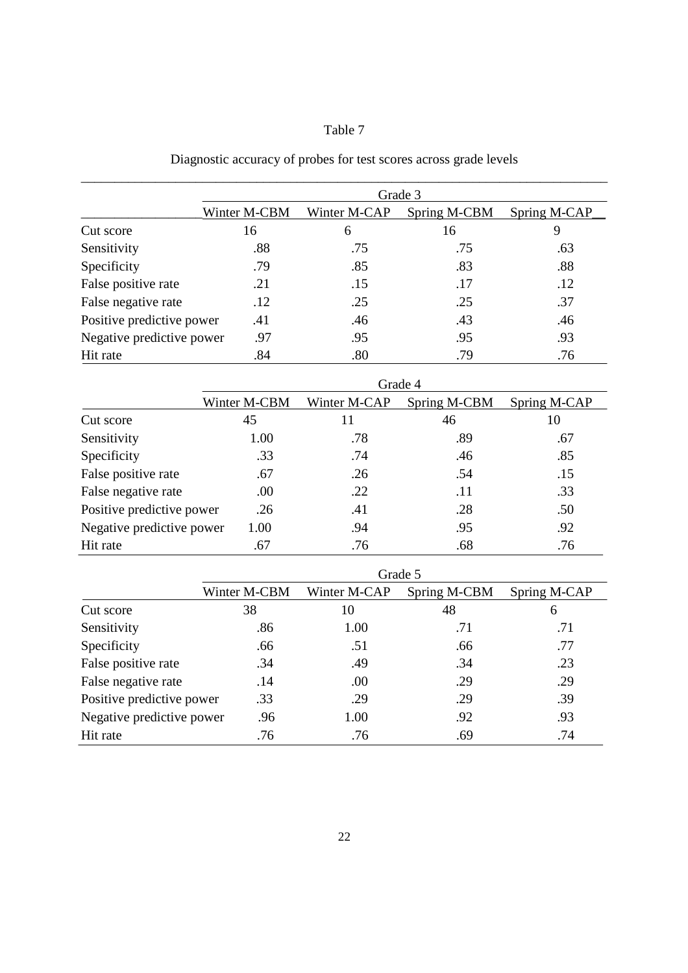## Table 7

## Diagnostic accuracy of probes for test scores across grade levels

|                           | Grade 3      |              |              |              |  |  |
|---------------------------|--------------|--------------|--------------|--------------|--|--|
|                           | Winter M-CBM | Winter M-CAP | Spring M-CBM | Spring M-CAP |  |  |
| Cut score                 | 16           | 6            | 16           |              |  |  |
| Sensitivity               | .88          | .75          | .75          | .63          |  |  |
| Specificity               | .79          | .85          | .83          | .88          |  |  |
| False positive rate       | .21          | .15          | .17          | .12          |  |  |
| False negative rate       | .12          | .25          | .25          | .37          |  |  |
| Positive predictive power | .41          | .46          | .43          | .46          |  |  |
| Negative predictive power | .97          | .95          | .95          | .93          |  |  |
| Hit rate                  | .84          | .80          | .79          | .76          |  |  |

|                           | Grade 4      |              |              |              |  |  |
|---------------------------|--------------|--------------|--------------|--------------|--|--|
|                           | Winter M-CBM | Winter M-CAP | Spring M-CBM | Spring M-CAP |  |  |
| Cut score                 | 45           | 11           | 46           | 10           |  |  |
| Sensitivity               | 1.00         | .78          | .89          | .67          |  |  |
| Specificity               | .33          | .74          | .46          | .85          |  |  |
| False positive rate       | .67          | .26          | .54          | .15          |  |  |
| False negative rate       | .00.         | .22          | .11          | .33          |  |  |
| Positive predictive power | .26          | .41          | .28          | .50          |  |  |
| Negative predictive power | 1.00         | .94          | .95          | .92          |  |  |
| Hit rate                  | .67          | .76          | .68          | .76          |  |  |

|                           | Grade 5      |              |              |              |  |
|---------------------------|--------------|--------------|--------------|--------------|--|
|                           | Winter M-CBM | Winter M-CAP | Spring M-CBM | Spring M-CAP |  |
| Cut score                 | 38           | 10           | 48           | 6            |  |
| Sensitivity               | .86          | 1.00         | .71          | .71          |  |
| Specificity               | .66          | .51          | .66          | .77          |  |
| False positive rate       | .34          | .49          | .34          | .23          |  |
| False negative rate       | .14          | .00          | .29          | .29          |  |
| Positive predictive power | .33          | .29          | .29          | .39          |  |
| Negative predictive power | .96          | 1.00         | .92          | .93          |  |
| Hit rate                  | .76          | .76          | .69          | .74          |  |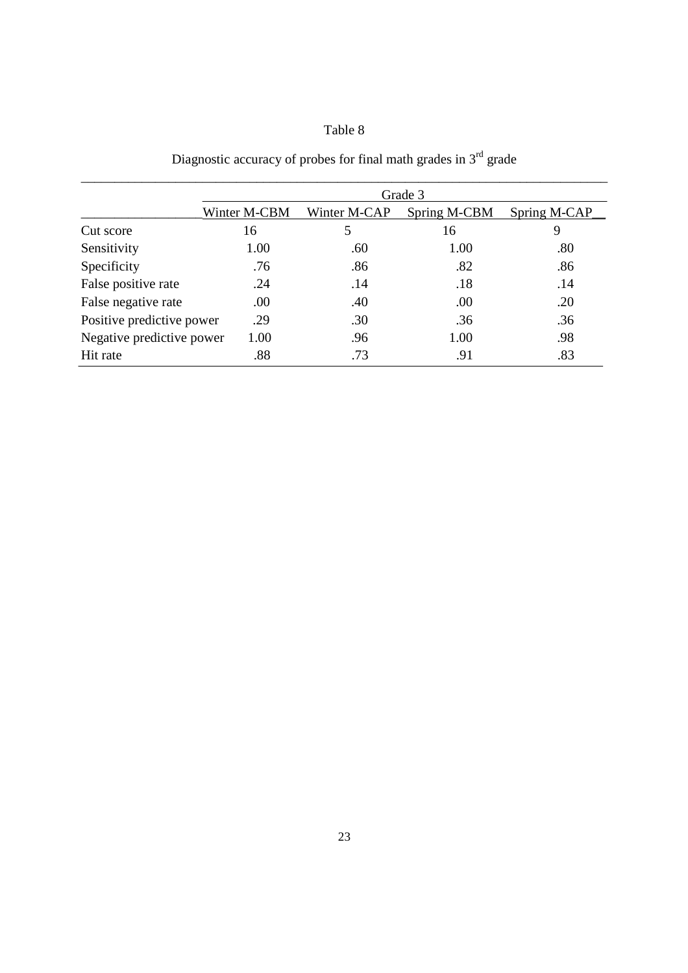## Table 8

|                           | Grade 3      |              |              |              |  |  |
|---------------------------|--------------|--------------|--------------|--------------|--|--|
|                           | Winter M-CBM | Winter M-CAP | Spring M-CBM | Spring M-CAP |  |  |
| Cut score                 | 16           | 5            | 16           | 9            |  |  |
| Sensitivity               | 1.00         | .60          | 1.00         | .80          |  |  |
| Specificity               | .76          | .86          | .82          | .86          |  |  |
| False positive rate       | .24          | .14          | .18          | .14          |  |  |
| False negative rate       | .00          | .40          | .00          | .20          |  |  |
| Positive predictive power | .29          | .30          | .36          | .36          |  |  |
| Negative predictive power | 1.00         | .96          | 1.00         | .98          |  |  |
| Hit rate                  | .88          | .73          | .91          | .83          |  |  |

Diagnostic accuracy of probes for final math grades in  $3<sup>rd</sup>$  grade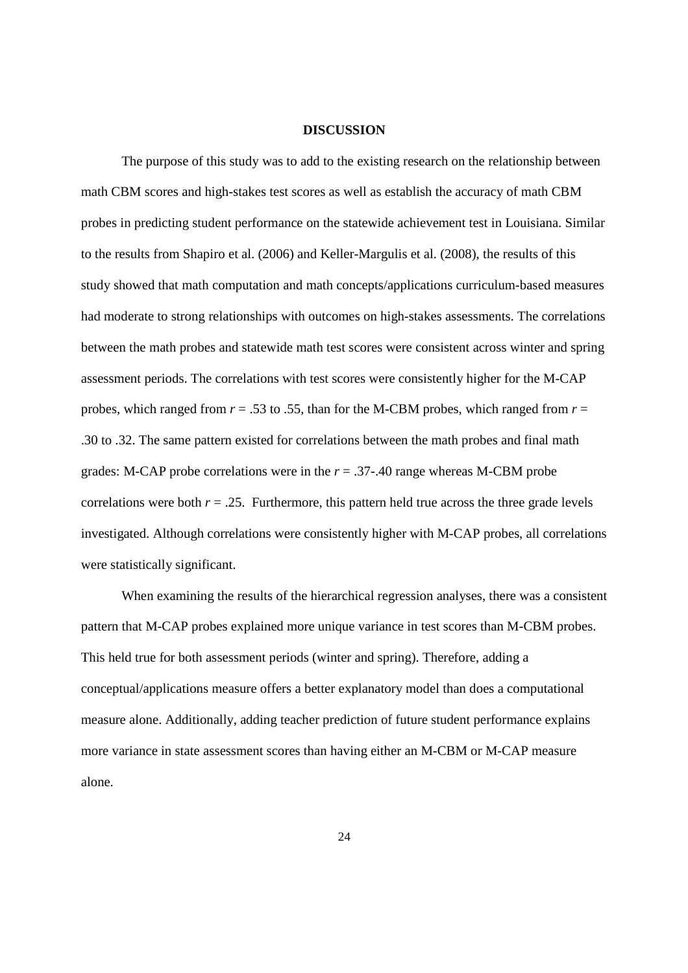#### **DISCUSSION**

The purpose of this study was to add to the existing research on the relationship between math CBM scores and high-stakes test scores as well as establish the accuracy of math CBM probes in predicting student performance on the statewide achievement test in Louisiana. Similar to the results from Shapiro et al. (2006) and Keller-Margulis et al. (2008), the results of this study showed that math computation and math concepts/applications curriculum-based measures had moderate to strong relationships with outcomes on high-stakes assessments. The correlations between the math probes and statewide math test scores were consistent across winter and spring assessment periods. The correlations with test scores were consistently higher for the M-CAP probes, which ranged from *r* = .53 to .55, than for the M-CBM probes, which ranged from *r* = .30 to .32. The same pattern existed for correlations between the math probes and final math grades: M-CAP probe correlations were in the *r* = .37-.40 range whereas M-CBM probe correlations were both  $r = .25$ . Furthermore, this pattern held true across the three grade levels investigated. Although correlations were consistently higher with M-CAP probes, all correlations were statistically significant.

When examining the results of the hierarchical regression analyses, there was a consistent pattern that M-CAP probes explained more unique variance in test scores than M-CBM probes. This held true for both assessment periods (winter and spring). Therefore, adding a conceptual/applications measure offers a better explanatory model than does a computational measure alone. Additionally, adding teacher prediction of future student performance explains more variance in state assessment scores than having either an M-CBM or M-CAP measure alone.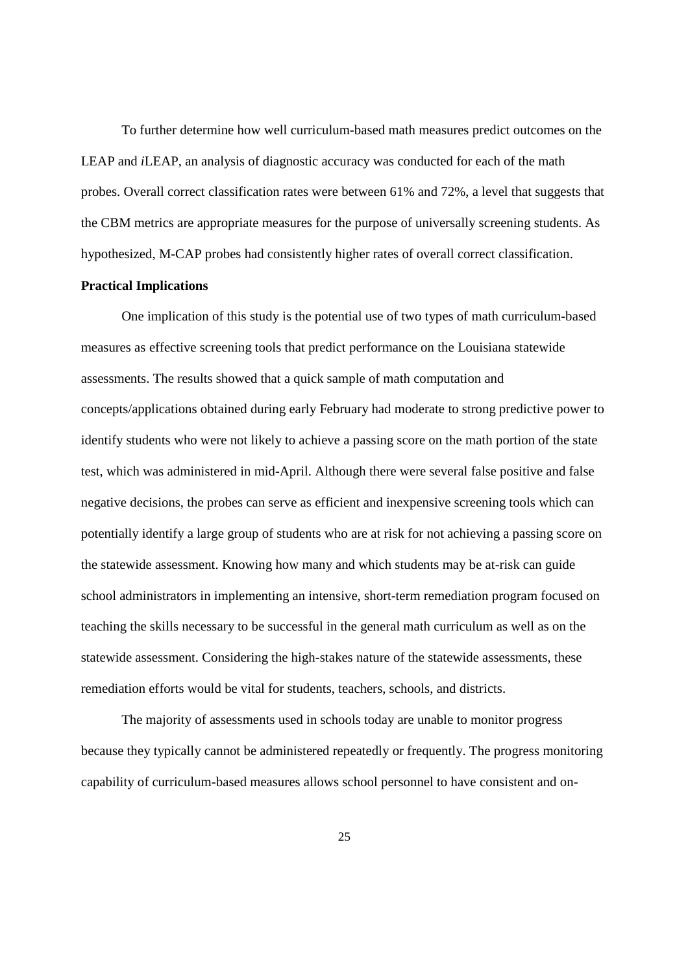To further determine how well curriculum-based math measures predict outcomes on the LEAP and *i*LEAP, an analysis of diagnostic accuracy was conducted for each of the math probes. Overall correct classification rates were between 61% and 72%, a level that suggests that the CBM metrics are appropriate measures for the purpose of universally screening students. As hypothesized, M-CAP probes had consistently higher rates of overall correct classification.

#### **Practical Implications**

One implication of this study is the potential use of two types of math curriculum-based measures as effective screening tools that predict performance on the Louisiana statewide assessments. The results showed that a quick sample of math computation and concepts/applications obtained during early February had moderate to strong predictive power to identify students who were not likely to achieve a passing score on the math portion of the state test, which was administered in mid-April. Although there were several false positive and false negative decisions, the probes can serve as efficient and inexpensive screening tools which can potentially identify a large group of students who are at risk for not achieving a passing score on the statewide assessment. Knowing how many and which students may be at-risk can guide school administrators in implementing an intensive, short-term remediation program focused on teaching the skills necessary to be successful in the general math curriculum as well as on the statewide assessment. Considering the high-stakes nature of the statewide assessments, these remediation efforts would be vital for students, teachers, schools, and districts.

The majority of assessments used in schools today are unable to monitor progress because they typically cannot be administered repeatedly or frequently. The progress monitoring capability of curriculum-based measures allows school personnel to have consistent and on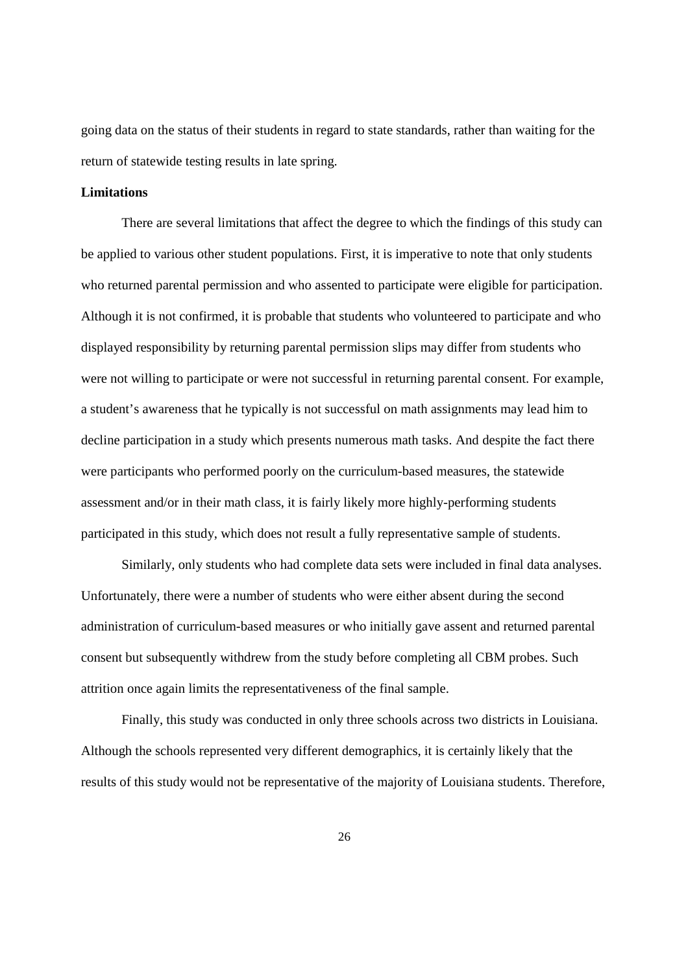going data on the status of their students in regard to state standards, rather than waiting for the return of statewide testing results in late spring.

#### **Limitations**

There are several limitations that affect the degree to which the findings of this study can be applied to various other student populations. First, it is imperative to note that only students who returned parental permission and who assented to participate were eligible for participation. Although it is not confirmed, it is probable that students who volunteered to participate and who displayed responsibility by returning parental permission slips may differ from students who were not willing to participate or were not successful in returning parental consent. For example, a student's awareness that he typically is not successful on math assignments may lead him to decline participation in a study which presents numerous math tasks. And despite the fact there were participants who performed poorly on the curriculum-based measures, the statewide assessment and/or in their math class, it is fairly likely more highly-performing students participated in this study, which does not result a fully representative sample of students.

 Similarly, only students who had complete data sets were included in final data analyses. Unfortunately, there were a number of students who were either absent during the second administration of curriculum-based measures or who initially gave assent and returned parental consent but subsequently withdrew from the study before completing all CBM probes. Such attrition once again limits the representativeness of the final sample.

 Finally, this study was conducted in only three schools across two districts in Louisiana. Although the schools represented very different demographics, it is certainly likely that the results of this study would not be representative of the majority of Louisiana students. Therefore,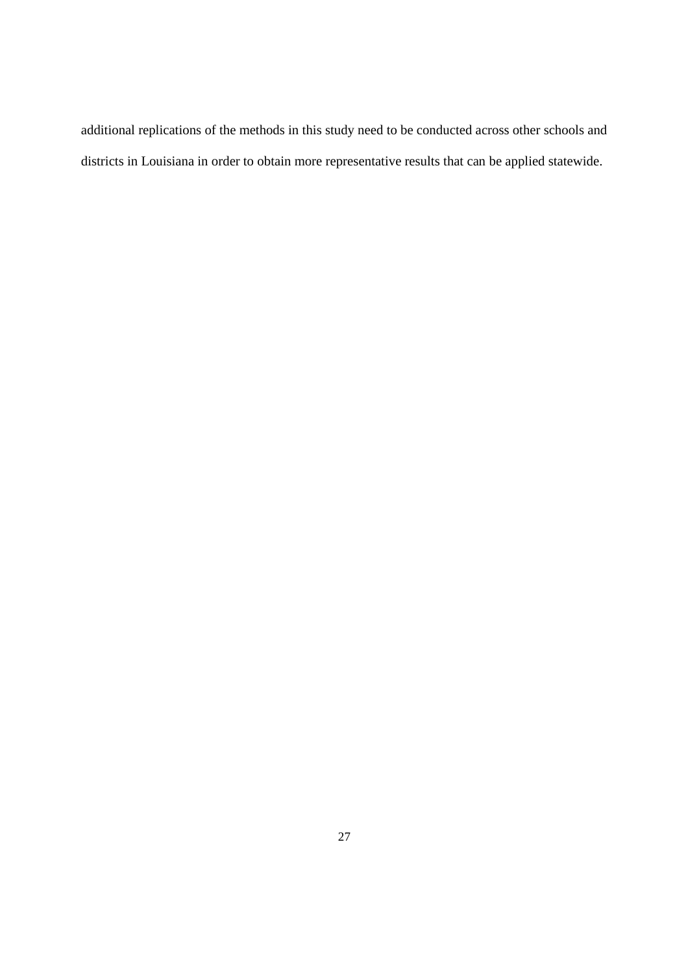additional replications of the methods in this study need to be conducted across other schools and districts in Louisiana in order to obtain more representative results that can be applied statewide.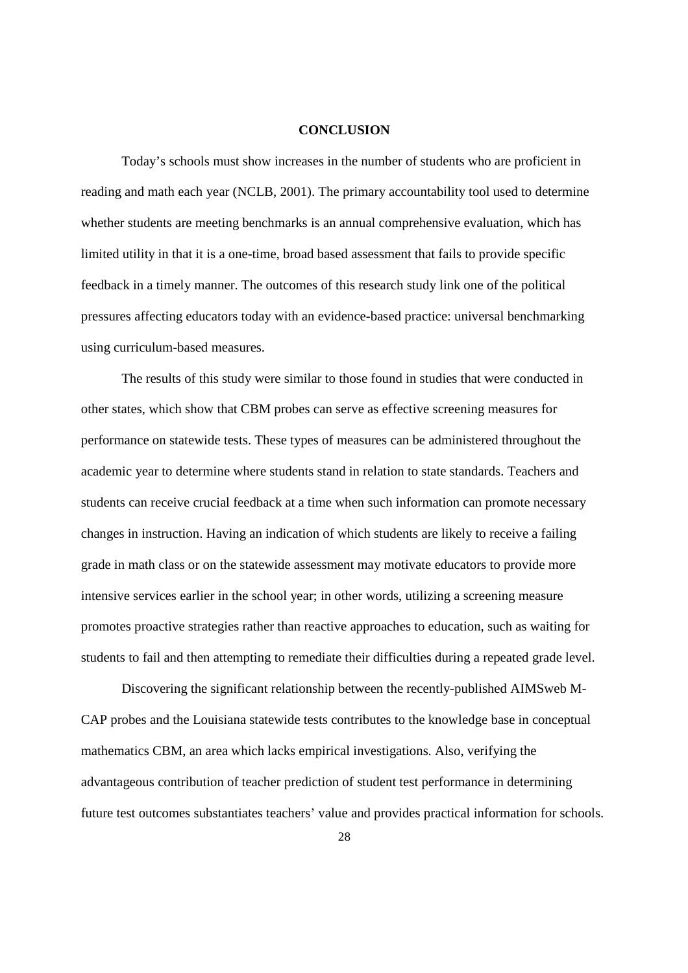#### **CONCLUSION**

Today's schools must show increases in the number of students who are proficient in reading and math each year (NCLB, 2001). The primary accountability tool used to determine whether students are meeting benchmarks is an annual comprehensive evaluation, which has limited utility in that it is a one-time, broad based assessment that fails to provide specific feedback in a timely manner. The outcomes of this research study link one of the political pressures affecting educators today with an evidence-based practice: universal benchmarking using curriculum-based measures.

The results of this study were similar to those found in studies that were conducted in other states, which show that CBM probes can serve as effective screening measures for performance on statewide tests. These types of measures can be administered throughout the academic year to determine where students stand in relation to state standards. Teachers and students can receive crucial feedback at a time when such information can promote necessary changes in instruction. Having an indication of which students are likely to receive a failing grade in math class or on the statewide assessment may motivate educators to provide more intensive services earlier in the school year; in other words, utilizing a screening measure promotes proactive strategies rather than reactive approaches to education, such as waiting for students to fail and then attempting to remediate their difficulties during a repeated grade level.

Discovering the significant relationship between the recently-published AIMSweb M-CAP probes and the Louisiana statewide tests contributes to the knowledge base in conceptual mathematics CBM, an area which lacks empirical investigations. Also, verifying the advantageous contribution of teacher prediction of student test performance in determining future test outcomes substantiates teachers' value and provides practical information for schools.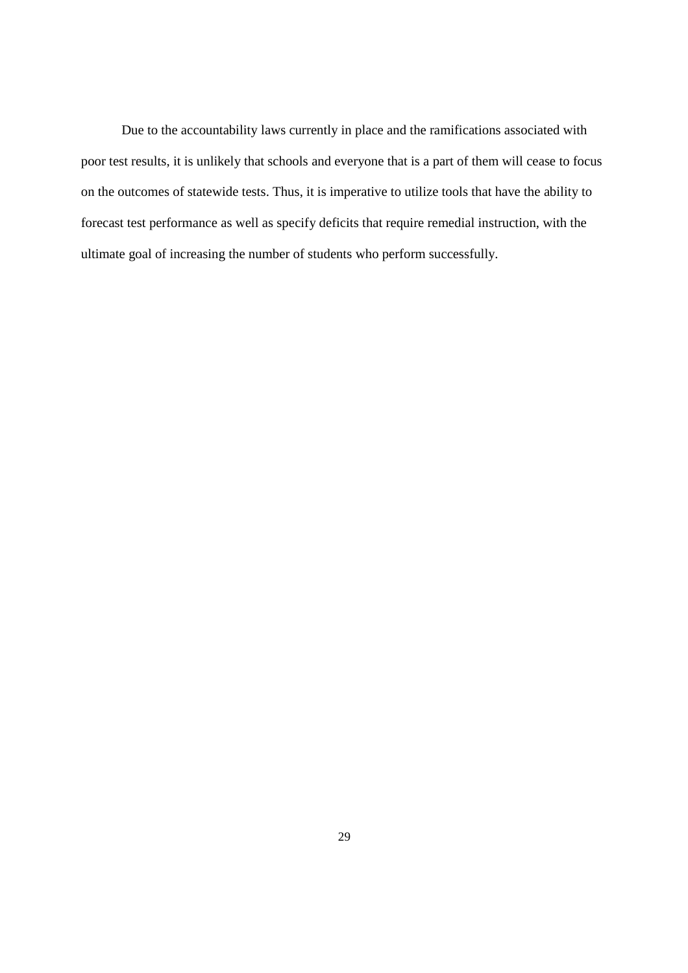Due to the accountability laws currently in place and the ramifications associated with poor test results, it is unlikely that schools and everyone that is a part of them will cease to focus on the outcomes of statewide tests. Thus, it is imperative to utilize tools that have the ability to forecast test performance as well as specify deficits that require remedial instruction, with the ultimate goal of increasing the number of students who perform successfully.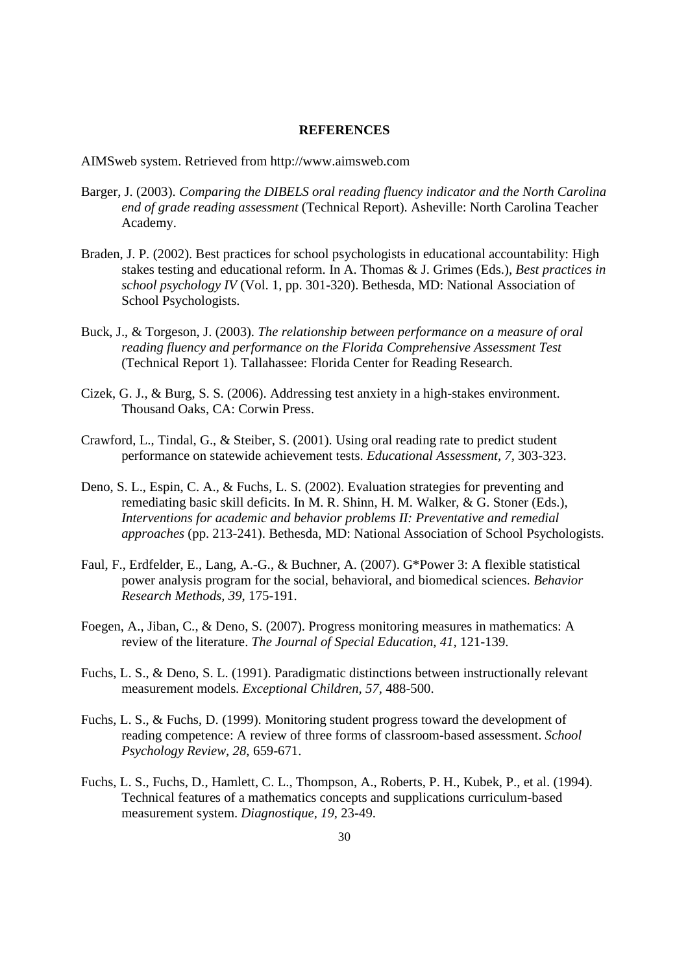#### **REFERENCES**

AIMSweb system. Retrieved from http://www.aimsweb.com

- Barger, J. (2003). *Comparing the DIBELS oral reading fluency indicator and the North Carolina end of grade reading assessment* (Technical Report). Asheville: North Carolina Teacher Academy.
- Braden, J. P. (2002). Best practices for school psychologists in educational accountability: High stakes testing and educational reform. In A. Thomas & J. Grimes (Eds.), *Best practices in school psychology IV* (Vol. 1, pp. 301-320). Bethesda, MD: National Association of School Psychologists.
- Buck, J., & Torgeson, J. (2003). *The relationship between performance on a measure of oral reading fluency and performance on the Florida Comprehensive Assessment Test*  (Technical Report 1). Tallahassee: Florida Center for Reading Research.
- Cizek, G. J., & Burg, S. S. (2006). Addressing test anxiety in a high-stakes environment. Thousand Oaks, CA: Corwin Press.
- Crawford, L., Tindal, G., & Steiber, S. (2001). Using oral reading rate to predict student performance on statewide achievement tests. *Educational Assessment, 7,* 303-323.
- Deno, S. L., Espin, C. A., & Fuchs, L. S. (2002). Evaluation strategies for preventing and remediating basic skill deficits. In M. R. Shinn, H. M. Walker, & G. Stoner (Eds.), *Interventions for academic and behavior problems II: Preventative and remedial approaches* (pp. 213-241). Bethesda, MD: National Association of School Psychologists.
- Faul, F., Erdfelder, E., Lang, A.-G., & Buchner, A. (2007). G\*Power 3: A flexible statistical power analysis program for the social, behavioral, and biomedical sciences. *Behavior Research Methods, 39*, 175-191.
- Foegen, A., Jiban, C., & Deno, S. (2007). Progress monitoring measures in mathematics: A review of the literature. *The Journal of Special Education, 41,* 121-139.
- Fuchs, L. S., & Deno, S. L. (1991). Paradigmatic distinctions between instructionally relevant measurement models. *Exceptional Children, 57,* 488-500.
- Fuchs, L. S., & Fuchs, D. (1999). Monitoring student progress toward the development of reading competence: A review of three forms of classroom-based assessment. *School Psychology Review, 28*, 659-671.
- Fuchs, L. S., Fuchs, D., Hamlett, C. L., Thompson, A., Roberts, P. H., Kubek, P., et al. (1994). Technical features of a mathematics concepts and supplications curriculum-based measurement system. *Diagnostique, 19,* 23-49.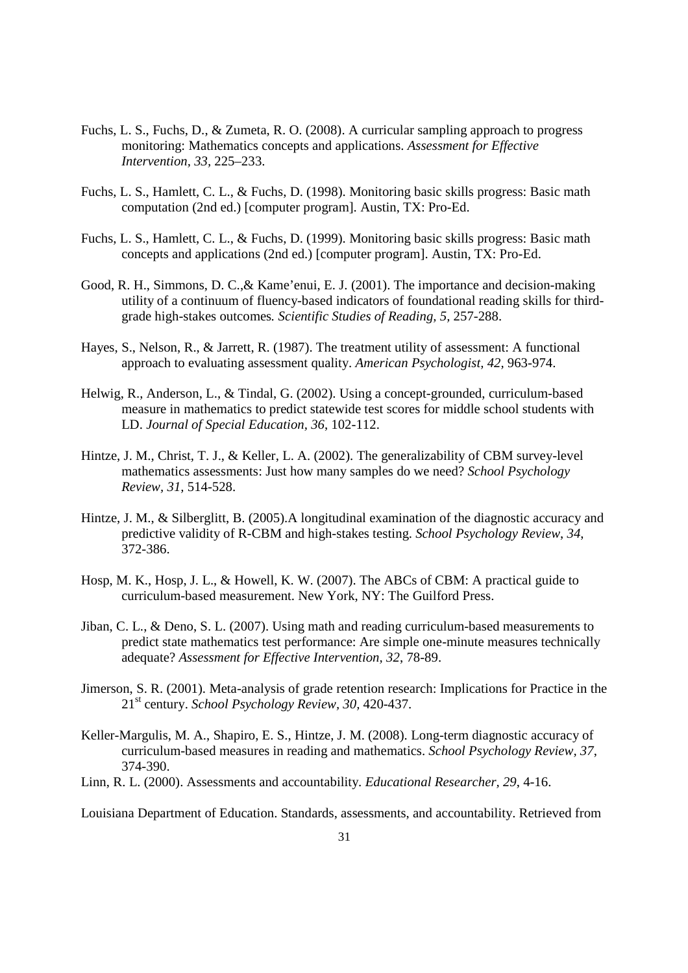- Fuchs, L. S., Fuchs, D., & Zumeta, R. O. (2008). A curricular sampling approach to progress monitoring: Mathematics concepts and applications. *Assessment for Effective Intervention, 33,* 225–233.
- Fuchs, L. S., Hamlett, C. L., & Fuchs, D. (1998). Monitoring basic skills progress: Basic math computation (2nd ed.) [computer program]. Austin, TX: Pro-Ed.
- Fuchs, L. S., Hamlett, C. L., & Fuchs, D. (1999). Monitoring basic skills progress: Basic math concepts and applications (2nd ed.) [computer program]. Austin, TX: Pro-Ed.
- Good, R. H., Simmons, D. C.,& Kame'enui, E. J. (2001). The importance and decision-making utility of a continuum of fluency-based indicators of foundational reading skills for thirdgrade high-stakes outcomes*. Scientific Studies of Reading, 5,* 257-288.
- Hayes, S., Nelson, R., & Jarrett, R. (1987). The treatment utility of assessment: A functional approach to evaluating assessment quality. *American Psychologist, 42,* 963-974.
- Helwig, R., Anderson, L., & Tindal, G. (2002). Using a concept-grounded, curriculum-based measure in mathematics to predict statewide test scores for middle school students with LD. *Journal of Special Education, 36*, 102-112.
- Hintze, J. M., Christ, T. J., & Keller, L. A. (2002). The generalizability of CBM survey-level mathematics assessments: Just how many samples do we need? *School Psychology Review, 31,* 514-528.
- Hintze, J. M., & Silberglitt, B. (2005).A longitudinal examination of the diagnostic accuracy and predictive validity of R-CBM and high-stakes testing. *School Psychology Review*, *34*, 372-386.
- Hosp, M. K., Hosp, J. L., & Howell, K. W. (2007). The ABCs of CBM: A practical guide to curriculum-based measurement. New York, NY: The Guilford Press.
- Jiban, C. L., & Deno, S. L. (2007). Using math and reading curriculum-based measurements to predict state mathematics test performance: Are simple one-minute measures technically adequate? *Assessment for Effective Intervention, 32*, 78-89.
- Jimerson, S. R. (2001). Meta-analysis of grade retention research: Implications for Practice in the 21st century. *School Psychology Review, 30,* 420-437.
- Keller-Margulis, M. A., Shapiro, E. S., Hintze, J. M. (2008). Long-term diagnostic accuracy of curriculum-based measures in reading and mathematics. *School Psychology Review, 37*, 374-390.
- Linn, R. L. (2000). Assessments and accountability. *Educational Researcher, 29*, 4-16.

Louisiana Department of Education. Standards, assessments, and accountability. Retrieved from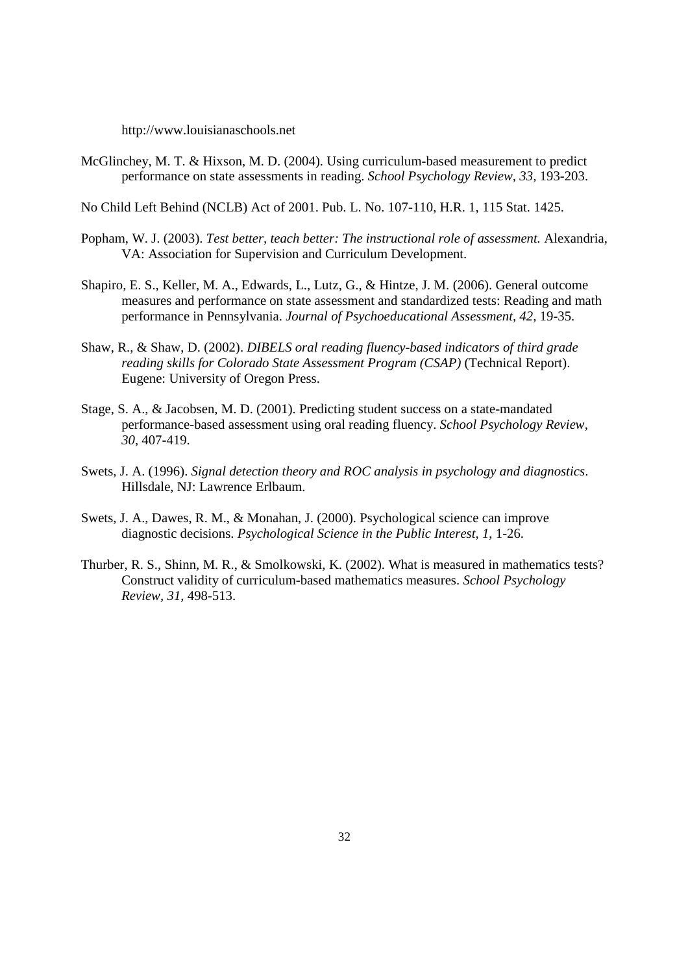http://www.louisianaschools.net

McGlinchey, M. T. & Hixson, M. D. (2004). Using curriculum-based measurement to predict performance on state assessments in reading. *School Psychology Review, 33,* 193-203.

No Child Left Behind (NCLB) Act of 2001. Pub. L. No. 107-110, H.R. 1, 115 Stat. 1425.

- Popham, W. J. (2003). *Test better, teach better: The instructional role of assessment.* Alexandria, VA: Association for Supervision and Curriculum Development.
- Shapiro, E. S., Keller, M. A., Edwards, L., Lutz, G., & Hintze, J. M. (2006). General outcome measures and performance on state assessment and standardized tests: Reading and math performance in Pennsylvania. *Journal of Psychoeducational Assessment, 42,* 19-35.
- Shaw, R., & Shaw, D. (2002). *DIBELS oral reading fluency-based indicators of third grade reading skills for Colorado State Assessment Program (CSAP)* (Technical Report). Eugene: University of Oregon Press.
- Stage, S. A., & Jacobsen, M. D. (2001). Predicting student success on a state-mandated performance-based assessment using oral reading fluency. *School Psychology Review, 30*, 407-419.
- Swets, J. A. (1996). *Signal detection theory and ROC analysis in psychology and diagnostics*. Hillsdale, NJ: Lawrence Erlbaum.
- Swets, J. A., Dawes, R. M., & Monahan, J. (2000). Psychological science can improve diagnostic decisions. *Psychological Science in the Public Interest, 1*, 1-26.
- Thurber, R. S., Shinn, M. R., & Smolkowski, K. (2002). What is measured in mathematics tests? Construct validity of curriculum-based mathematics measures. *School Psychology Review, 31,* 498-513.